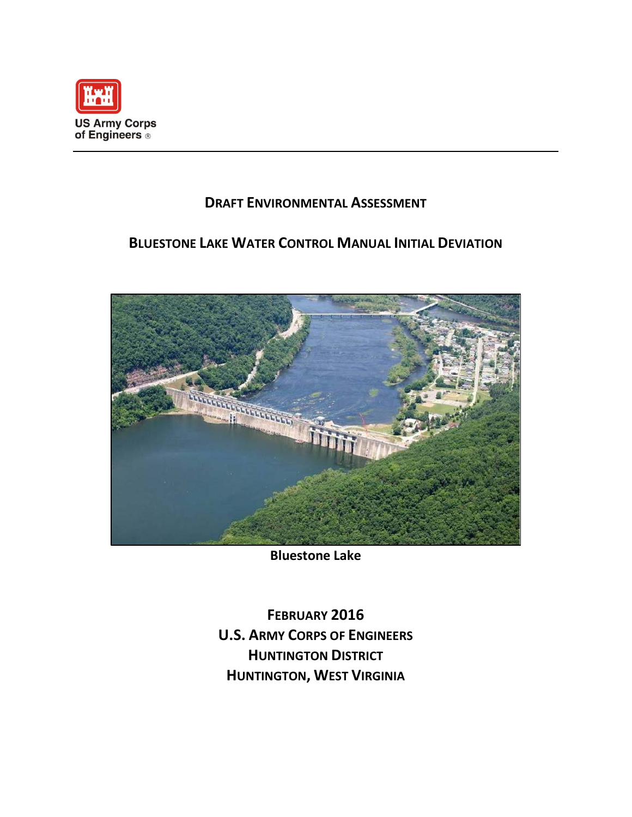

# **DRAFT ENVIRONMENTAL ASSESSMENT**

# **BLUESTONE LAKE WATER CONTROL MANUAL INITIAL DEVIATION**



**Bluestone Lake**

**FEBRUARY 2016 U.S. ARMY CORPS OF ENGINEERS HUNTINGTON DISTRICT HUNTINGTON, WEST VIRGINIA**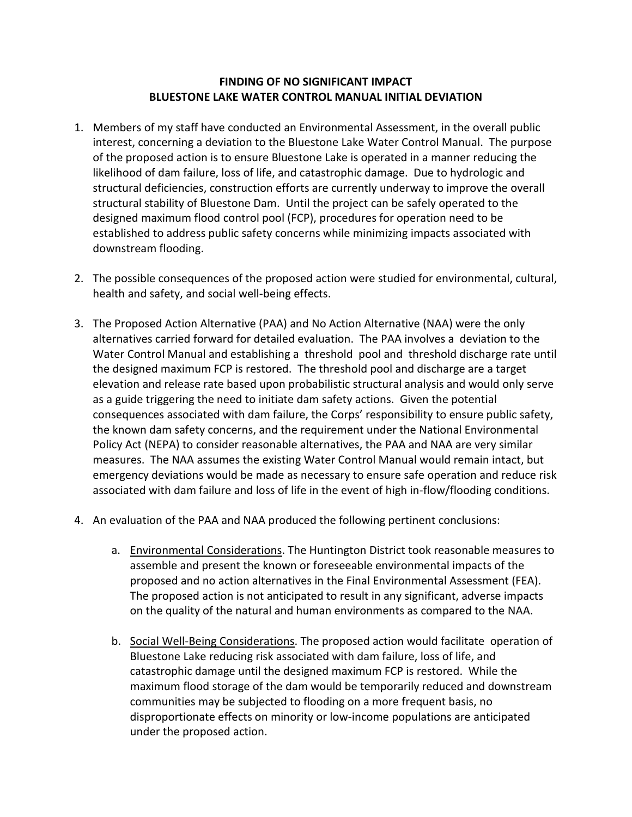## **FINDING OF NO SIGNIFICANT IMPACT BLUESTONE LAKE WATER CONTROL MANUAL INITIAL DEVIATION**

- 1. Members of my staff have conducted an Environmental Assessment, in the overall public interest, concerning a deviation to the Bluestone Lake Water Control Manual. The purpose of the proposed action is to ensure Bluestone Lake is operated in a manner reducing the likelihood of dam failure, loss of life, and catastrophic damage. Due to hydrologic and structural deficiencies, construction efforts are currently underway to improve the overall structural stability of Bluestone Dam. Until the project can be safely operated to the designed maximum flood control pool (FCP), procedures for operation need to be established to address public safety concerns while minimizing impacts associated with downstream flooding.
- 2. The possible consequences of the proposed action were studied for environmental, cultural, health and safety, and social well-being effects.
- 3. The Proposed Action Alternative (PAA) and No Action Alternative (NAA) were the only alternatives carried forward for detailed evaluation. The PAA involves a deviation to the Water Control Manual and establishing a threshold pool and threshold discharge rate until the designed maximum FCP is restored. The threshold pool and discharge are a target elevation and release rate based upon probabilistic structural analysis and would only serve as a guide triggering the need to initiate dam safety actions. Given the potential consequences associated with dam failure, the Corps' responsibility to ensure public safety, the known dam safety concerns, and the requirement under the National Environmental Policy Act (NEPA) to consider reasonable alternatives, the PAA and NAA are very similar measures. The NAA assumes the existing Water Control Manual would remain intact, but emergency deviations would be made as necessary to ensure safe operation and reduce risk associated with dam failure and loss of life in the event of high in-flow/flooding conditions.
- 4. An evaluation of the PAA and NAA produced the following pertinent conclusions:
	- a. Environmental Considerations. The Huntington District took reasonable measures to assemble and present the known or foreseeable environmental impacts of the proposed and no action alternatives in the Final Environmental Assessment (FEA). The proposed action is not anticipated to result in any significant, adverse impacts on the quality of the natural and human environments as compared to the NAA.
	- b. Social Well-Being Considerations. The proposed action would facilitate operation of Bluestone Lake reducing risk associated with dam failure, loss of life, and catastrophic damage until the designed maximum FCP is restored. While the maximum flood storage of the dam would be temporarily reduced and downstream communities may be subjected to flooding on a more frequent basis, no disproportionate effects on minority or low-income populations are anticipated under the proposed action.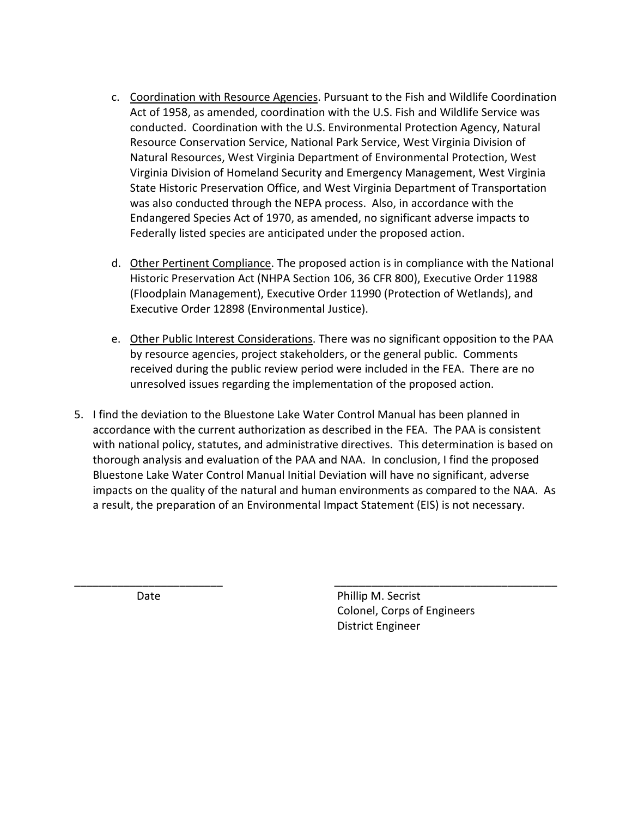- c. Coordination with Resource Agencies. Pursuant to the Fish and Wildlife Coordination Act of 1958, as amended, coordination with the U.S. Fish and Wildlife Service was conducted. Coordination with the U.S. Environmental Protection Agency, Natural Resource Conservation Service, National Park Service, West Virginia Division of Natural Resources, West Virginia Department of Environmental Protection, West Virginia Division of Homeland Security and Emergency Management, West Virginia State Historic Preservation Office, and West Virginia Department of Transportation was also conducted through the NEPA process. Also, in accordance with the Endangered Species Act of 1970, as amended, no significant adverse impacts to Federally listed species are anticipated under the proposed action.
- d. Other Pertinent Compliance. The proposed action is in compliance with the National Historic Preservation Act (NHPA Section 106, 36 CFR 800), Executive Order 11988 (Floodplain Management), Executive Order 11990 (Protection of Wetlands), and Executive Order 12898 (Environmental Justice).
- e. Other Public Interest Considerations. There was no significant opposition to the PAA by resource agencies, project stakeholders, or the general public. Comments received during the public review period were included in the FEA. There are no unresolved issues regarding the implementation of the proposed action.
- 5. I find the deviation to the Bluestone Lake Water Control Manual has been planned in accordance with the current authorization as described in the FEA. The PAA is consistent with national policy, statutes, and administrative directives. This determination is based on thorough analysis and evaluation of the PAA and NAA. In conclusion, I find the proposed Bluestone Lake Water Control Manual Initial Deviation will have no significant, adverse impacts on the quality of the natural and human environments as compared to the NAA. As a result, the preparation of an Environmental Impact Statement (EIS) is not necessary.

\_\_\_\_\_\_\_\_\_\_\_\_\_\_\_\_\_\_\_\_\_\_\_\_ \_\_\_\_\_\_\_\_\_\_\_\_\_\_\_\_\_\_\_\_\_\_\_\_\_\_\_\_\_\_\_\_\_\_\_\_

Date **Date** Phillip M. Secrist Colonel, Corps of Engineers District Engineer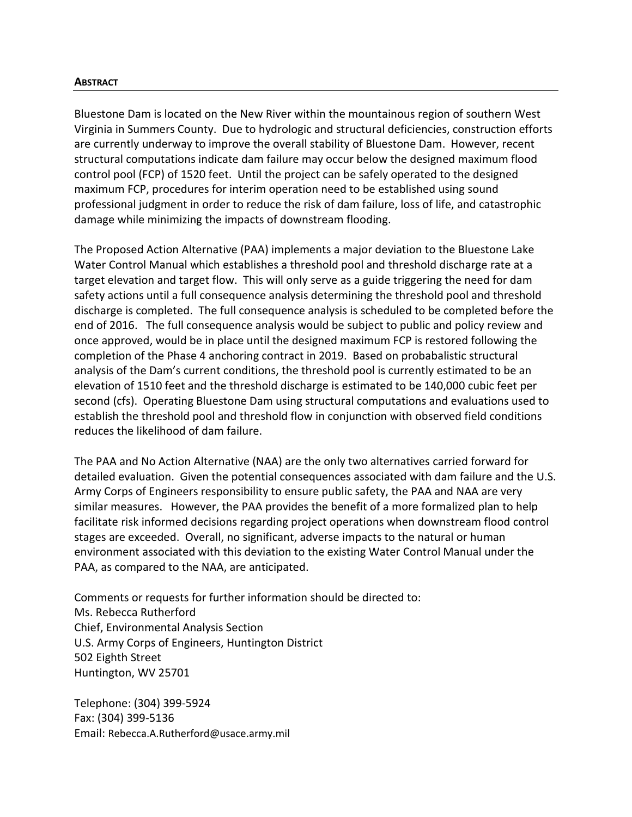#### **ABSTRACT**

Bluestone Dam is located on the New River within the mountainous region of southern West Virginia in Summers County. Due to hydrologic and structural deficiencies, construction efforts are currently underway to improve the overall stability of Bluestone Dam. However, recent structural computations indicate dam failure may occur below the designed maximum flood control pool (FCP) of 1520 feet. Until the project can be safely operated to the designed maximum FCP, procedures for interim operation need to be established using sound professional judgment in order to reduce the risk of dam failure, loss of life, and catastrophic damage while minimizing the impacts of downstream flooding.

The Proposed Action Alternative (PAA) implements a major deviation to the Bluestone Lake Water Control Manual which establishes a threshold pool and threshold discharge rate at a target elevation and target flow. This will only serve as a guide triggering the need for dam safety actions until a full consequence analysis determining the threshold pool and threshold discharge is completed. The full consequence analysis is scheduled to be completed before the end of 2016. The full consequence analysis would be subject to public and policy review and once approved, would be in place until the designed maximum FCP is restored following the completion of the Phase 4 anchoring contract in 2019. Based on probabalistic structural analysis of the Dam's current conditions, the threshold pool is currently estimated to be an elevation of 1510 feet and the threshold discharge is estimated to be 140,000 cubic feet per second (cfs). Operating Bluestone Dam using structural computations and evaluations used to establish the threshold pool and threshold flow in conjunction with observed field conditions reduces the likelihood of dam failure.

The PAA and No Action Alternative (NAA) are the only two alternatives carried forward for detailed evaluation. Given the potential consequences associated with dam failure and the U.S. Army Corps of Engineers responsibility to ensure public safety, the PAA and NAA are very similar measures. However, the PAA provides the benefit of a more formalized plan to help facilitate risk informed decisions regarding project operations when downstream flood control stages are exceeded. Overall, no significant, adverse impacts to the natural or human environment associated with this deviation to the existing Water Control Manual under the PAA, as compared to the NAA, are anticipated.

Comments or requests for further information should be directed to: Ms. Rebecca Rutherford Chief, Environmental Analysis Section U.S. Army Corps of Engineers, Huntington District 502 Eighth Street Huntington, WV 25701

Telephone: (304) 399-5924 Fax: (304) 399-5136 Email: Rebecca.A.Rutherford@usace.army.mil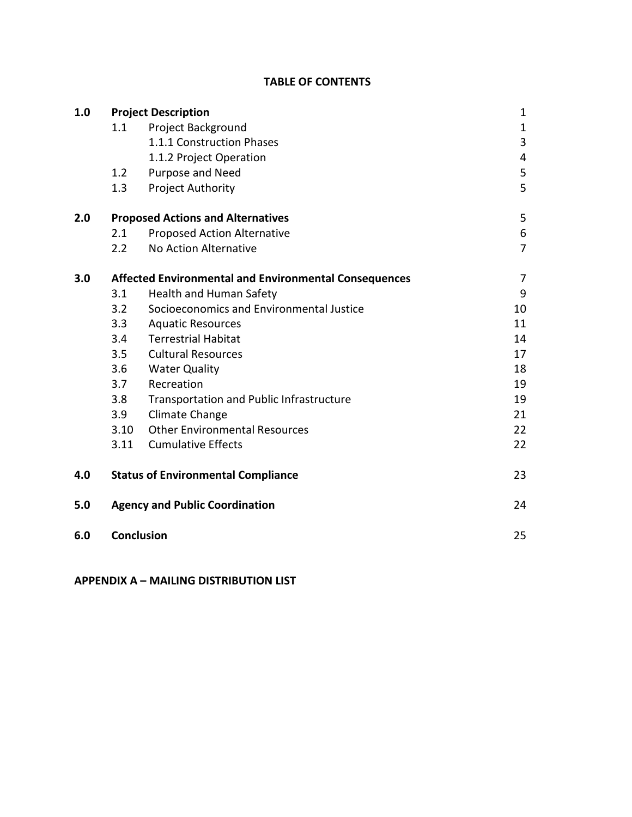# **TABLE OF CONTENTS**

| 1.0 |                                                              | <b>Project Description</b>                | $\mathbf{1}$   |  |  |
|-----|--------------------------------------------------------------|-------------------------------------------|----------------|--|--|
|     | 1.1                                                          | <b>Project Background</b>                 | $\mathbf{1}$   |  |  |
|     |                                                              | 1.1.1 Construction Phases                 | 3              |  |  |
|     |                                                              | 1.1.2 Project Operation                   | 4              |  |  |
|     | 1.2                                                          | Purpose and Need                          | 5              |  |  |
|     | 1.3                                                          | <b>Project Authority</b>                  | 5              |  |  |
| 2.0 | <b>Proposed Actions and Alternatives</b>                     |                                           |                |  |  |
|     | 2.1                                                          | Proposed Action Alternative               | $\sqrt{6}$     |  |  |
|     | 2.2                                                          | No Action Alternative                     | $\overline{7}$ |  |  |
| 3.0 | <b>Affected Environmental and Environmental Consequences</b> |                                           |                |  |  |
|     | 3.1                                                          | <b>Health and Human Safety</b>            | 9              |  |  |
|     | 3.2                                                          | Socioeconomics and Environmental Justice  | 10             |  |  |
|     | 3.3                                                          | <b>Aquatic Resources</b>                  | 11             |  |  |
|     | 3.4                                                          | <b>Terrestrial Habitat</b>                | 14             |  |  |
|     | 3.5                                                          | <b>Cultural Resources</b>                 | 17             |  |  |
|     | 3.6                                                          | <b>Water Quality</b>                      | 18             |  |  |
|     | 3.7                                                          | Recreation                                | 19             |  |  |
|     | 3.8                                                          | Transportation and Public Infrastructure  | 19             |  |  |
|     | 3.9                                                          | Climate Change                            | 21             |  |  |
|     | 3.10                                                         | <b>Other Environmental Resources</b>      | 22             |  |  |
|     | 3.11                                                         | <b>Cumulative Effects</b>                 | 22             |  |  |
| 4.0 |                                                              | <b>Status of Environmental Compliance</b> | 23             |  |  |
| 5.0 |                                                              | <b>Agency and Public Coordination</b>     | 24             |  |  |
| 6.0 | <b>Conclusion</b>                                            |                                           | 25             |  |  |

**APPENDIX A – MAILING DISTRIBUTION LIST**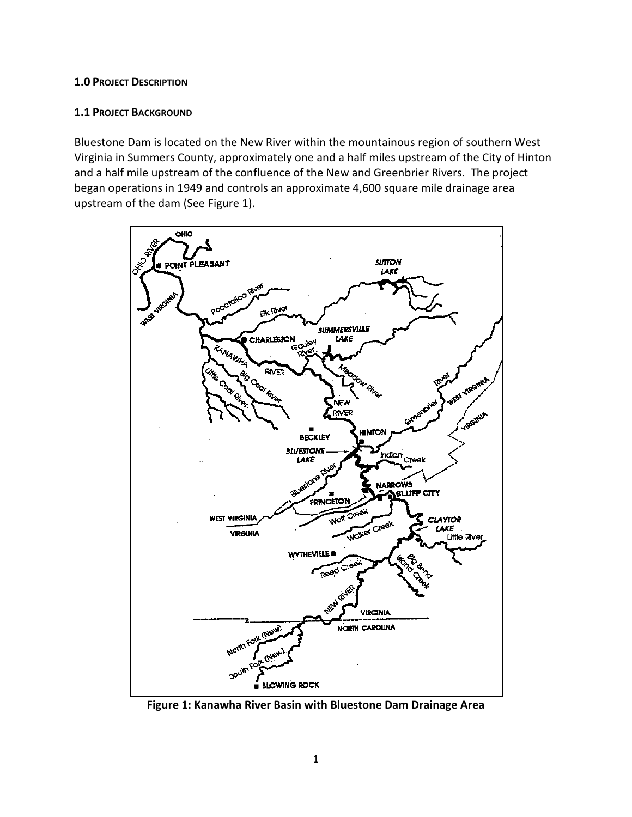#### **1.0 PROJECT DESCRIPTION**

#### **1.1 PROJECT BACKGROUND**

Bluestone Dam is located on the New River within the mountainous region of southern West Virginia in Summers County, approximately one and a half miles upstream of the City of Hinton and a half mile upstream of the confluence of the New and Greenbrier Rivers. The project began operations in 1949 and controls an approximate 4,600 square mile drainage area upstream of the dam (See Figure 1).



**Figure 1: Kanawha River Basin with Bluestone Dam Drainage Area**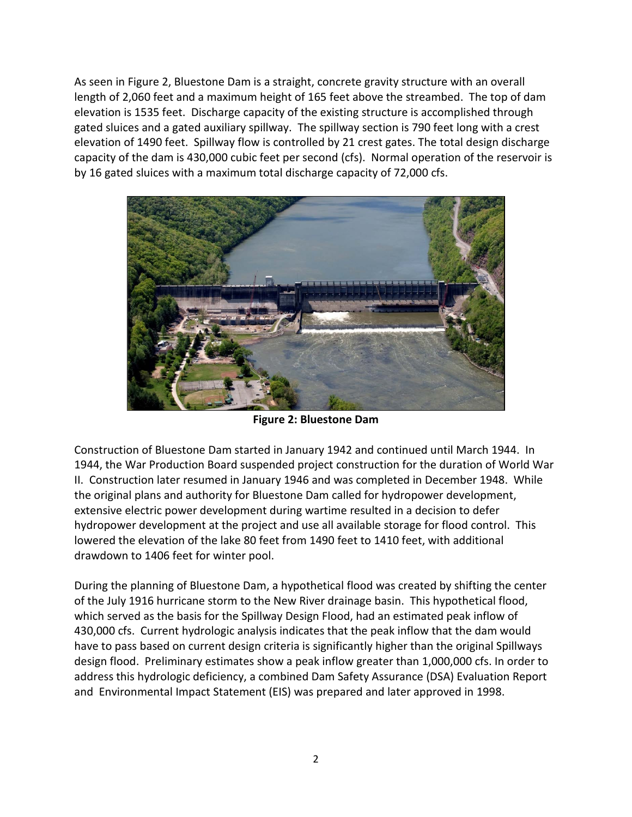As seen in Figure 2, Bluestone Dam is a straight, concrete gravity structure with an overall length of 2,060 feet and a maximum height of 165 feet above the streambed. The top of dam elevation is 1535 feet. Discharge capacity of the existing structure is accomplished through gated sluices and a gated auxiliary spillway. The spillway section is 790 feet long with a crest elevation of 1490 feet. Spillway flow is controlled by 21 crest gates. The total design discharge capacity of the dam is 430,000 cubic feet per second (cfs). Normal operation of the reservoir is by 16 gated sluices with a maximum total discharge capacity of 72,000 cfs.



**Figure 2: Bluestone Dam**

Construction of Bluestone Dam started in January 1942 and continued until March 1944. In 1944, the War Production Board suspended project construction for the duration of World War II. Construction later resumed in January 1946 and was completed in December 1948. While the original plans and authority for Bluestone Dam called for hydropower development, extensive electric power development during wartime resulted in a decision to defer hydropower development at the project and use all available storage for flood control. This lowered the elevation of the lake 80 feet from 1490 feet to 1410 feet, with additional drawdown to 1406 feet for winter pool.

During the planning of Bluestone Dam, a hypothetical flood was created by shifting the center of the July 1916 hurricane storm to the New River drainage basin. This hypothetical flood, which served as the basis for the Spillway Design Flood, had an estimated peak inflow of 430,000 cfs. Current hydrologic analysis indicates that the peak inflow that the dam would have to pass based on current design criteria is significantly higher than the original Spillways design flood. Preliminary estimates show a peak inflow greater than 1,000,000 cfs. In order to address this hydrologic deficiency, a combined Dam Safety Assurance (DSA) Evaluation Report and Environmental Impact Statement (EIS) was prepared and later approved in 1998.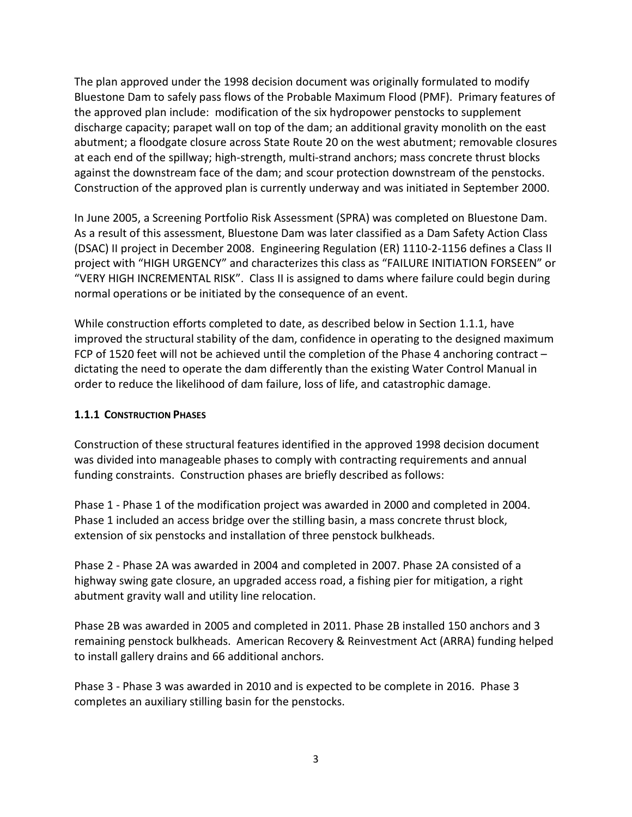The plan approved under the 1998 decision document was originally formulated to modify Bluestone Dam to safely pass flows of the Probable Maximum Flood (PMF). Primary features of the approved plan include: modification of the six hydropower penstocks to supplement discharge capacity; parapet wall on top of the dam; an additional gravity monolith on the east abutment; a floodgate closure across State Route 20 on the west abutment; removable closures at each end of the spillway; high-strength, multi-strand anchors; mass concrete thrust blocks against the downstream face of the dam; and scour protection downstream of the penstocks. Construction of the approved plan is currently underway and was initiated in September 2000.

In June 2005, a Screening Portfolio Risk Assessment (SPRA) was completed on Bluestone Dam. As a result of this assessment, Bluestone Dam was later classified as a Dam Safety Action Class (DSAC) II project in December 2008. Engineering Regulation (ER) 1110-2-1156 defines a Class II project with "HIGH URGENCY" and characterizes this class as "FAILURE INITIATION FORSEEN" or "VERY HIGH INCREMENTAL RISK". Class II is assigned to dams where failure could begin during normal operations or be initiated by the consequence of an event.

While construction efforts completed to date, as described below in Section 1.1.1, have improved the structural stability of the dam, confidence in operating to the designed maximum FCP of 1520 feet will not be achieved until the completion of the Phase 4 anchoring contract – dictating the need to operate the dam differently than the existing Water Control Manual in order to reduce the likelihood of dam failure, loss of life, and catastrophic damage.

# **1.1.1 CONSTRUCTION PHASES**

Construction of these structural features identified in the approved 1998 decision document was divided into manageable phases to comply with contracting requirements and annual funding constraints. Construction phases are briefly described as follows:

Phase 1 - Phase 1 of the modification project was awarded in 2000 and completed in 2004. Phase 1 included an access bridge over the stilling basin, a mass concrete thrust block, extension of six penstocks and installation of three penstock bulkheads.

Phase 2 - Phase 2A was awarded in 2004 and completed in 2007. Phase 2A consisted of a highway swing gate closure, an upgraded access road, a fishing pier for mitigation, a right abutment gravity wall and utility line relocation.

Phase 2B was awarded in 2005 and completed in 2011. Phase 2B installed 150 anchors and 3 remaining penstock bulkheads. American Recovery & Reinvestment Act (ARRA) funding helped to install gallery drains and 66 additional anchors.

Phase 3 - Phase 3 was awarded in 2010 and is expected to be complete in 2016. Phase 3 completes an auxiliary stilling basin for the penstocks.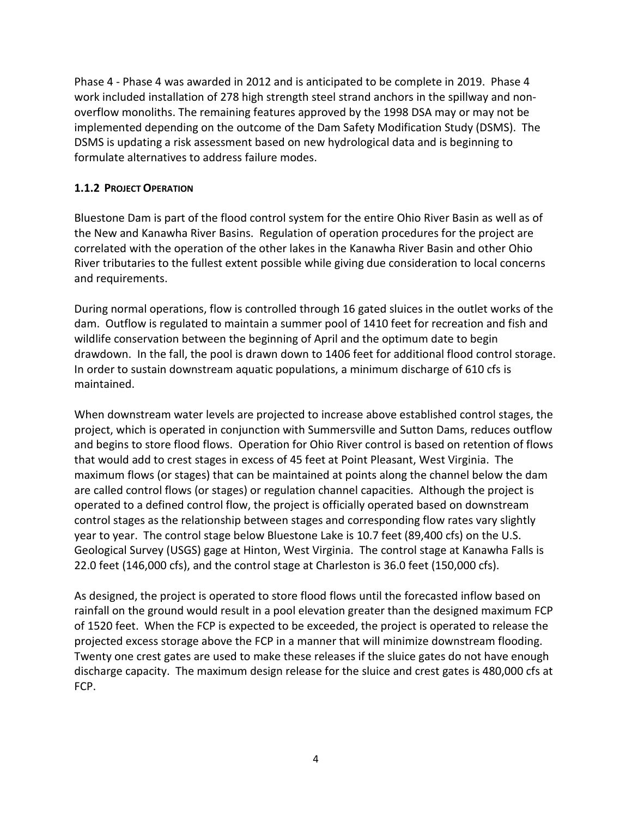Phase 4 - Phase 4 was awarded in 2012 and is anticipated to be complete in 2019. Phase 4 work included installation of 278 high strength steel strand anchors in the spillway and nonoverflow monoliths. The remaining features approved by the 1998 DSA may or may not be implemented depending on the outcome of the Dam Safety Modification Study (DSMS). The DSMS is updating a risk assessment based on new hydrological data and is beginning to formulate alternatives to address failure modes.

# **1.1.2 PROJECT OPERATION**

Bluestone Dam is part of the flood control system for the entire Ohio River Basin as well as of the New and Kanawha River Basins. Regulation of operation procedures for the project are correlated with the operation of the other lakes in the Kanawha River Basin and other Ohio River tributaries to the fullest extent possible while giving due consideration to local concerns and requirements.

During normal operations, flow is controlled through 16 gated sluices in the outlet works of the dam. Outflow is regulated to maintain a summer pool of 1410 feet for recreation and fish and wildlife conservation between the beginning of April and the optimum date to begin drawdown. In the fall, the pool is drawn down to 1406 feet for additional flood control storage. In order to sustain downstream aquatic populations, a minimum discharge of 610 cfs is maintained.

When downstream water levels are projected to increase above established control stages, the project, which is operated in conjunction with Summersville and Sutton Dams, reduces outflow and begins to store flood flows. Operation for Ohio River control is based on retention of flows that would add to crest stages in excess of 45 feet at Point Pleasant, West Virginia. The maximum flows (or stages) that can be maintained at points along the channel below the dam are called control flows (or stages) or regulation channel capacities. Although the project is operated to a defined control flow, the project is officially operated based on downstream control stages as the relationship between stages and corresponding flow rates vary slightly year to year. The control stage below Bluestone Lake is 10.7 feet (89,400 cfs) on the U.S. Geological Survey (USGS) gage at Hinton, West Virginia. The control stage at Kanawha Falls is 22.0 feet (146,000 cfs), and the control stage at Charleston is 36.0 feet (150,000 cfs).

As designed, the project is operated to store flood flows until the forecasted inflow based on rainfall on the ground would result in a pool elevation greater than the designed maximum FCP of 1520 feet. When the FCP is expected to be exceeded, the project is operated to release the projected excess storage above the FCP in a manner that will minimize downstream flooding. Twenty one crest gates are used to make these releases if the sluice gates do not have enough discharge capacity. The maximum design release for the sluice and crest gates is 480,000 cfs at FCP.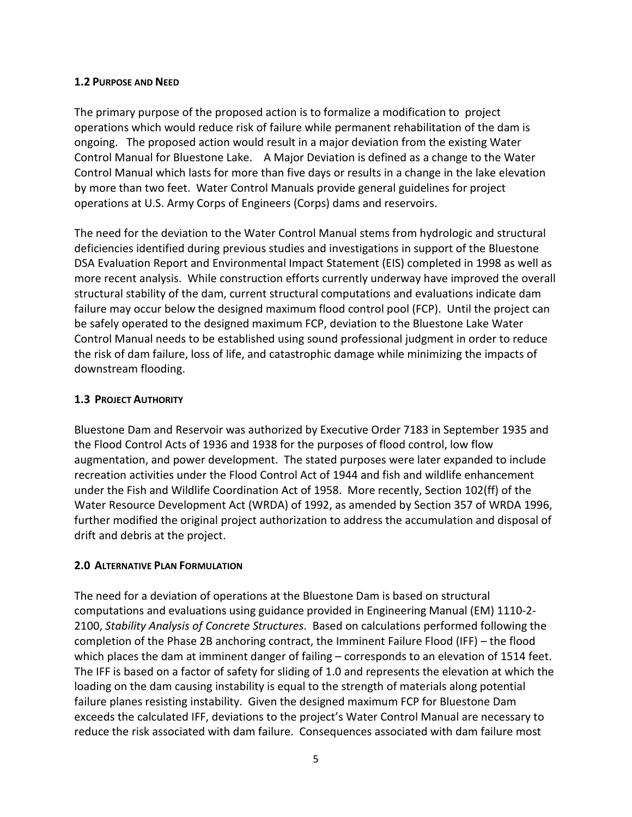#### **1.2 PURPOSE AND NEED**

The primary purpose of the proposed action is to formalize a modification to project operations which would reduce risk of failure while permanent rehabilitation of the dam is ongoing. The proposed action would result in a major deviation from the existing Water Control Manual for Bluestone Lake. A Major Deviation is defined as a change to the Water Control Manual which lasts for more than five days or results in a change in the lake elevation by more than two feet. Water Control Manuals provide general guidelines for project operations at U.S. Army Corps of Engineers (Corps) dams and reservoirs.

The need for the deviation to the Water Control Manual stems from hydrologic and structural deficiencies identified during previous studies and investigations in support of the Bluestone DSA Evaluation Report and Environmental Impact Statement (EIS) completed in 1998 as well as more recent analysis. While construction efforts currently underway have improved the overall structural stability of the dam, current structural computations and evaluations indicate dam failure may occur below the designed maximum flood control pool (FCP). Until the project can be safely operated to the designed maximum FCP, deviation to the Bluestone Lake Water Control Manual needs to be established using sound professional judgment in order to reduce the risk of dam failure, loss of life, and catastrophic damage while minimizing the impacts of downstream flooding.

# **1.3 PROJECT AUTHORITY**

Bluestone Dam and Reservoir was authorized by Executive Order 7183 in September 1935 and the Flood Control Acts of 1936 and 1938 for the purposes of flood control, low flow augmentation, and power development. The stated purposes were later expanded to include recreation activities under the Flood Control Act of 1944 and fish and wildlife enhancement under the Fish and Wildlife Coordination Act of 1958. More recently, Section 102(ff) of the Water Resource Development Act (WRDA) of 1992, as amended by Section 357 of WRDA 1996, further modified the original project authorization to address the accumulation and disposal of drift and debris at the project.

#### **2.0 ALTERNATIVE PLAN FORMULATION**

The need for a deviation of operations at the Bluestone Dam is based on structural computations and evaluations using guidance provided in Engineering Manual (EM) 1110-2- 2100, *Stability Analysis of Concrete Structures*. Based on calculations performed following the completion of the Phase 2B anchoring contract, the Imminent Failure Flood (IFF) – the flood which places the dam at imminent danger of failing – corresponds to an elevation of 1514 feet. The IFF is based on a factor of safety for sliding of 1.0 and represents the elevation at which the loading on the dam causing instability is equal to the strength of materials along potential failure planes resisting instability. Given the designed maximum FCP for Bluestone Dam exceeds the calculated IFF, deviations to the project's Water Control Manual are necessary to reduce the risk associated with dam failure. Consequences associated with dam failure most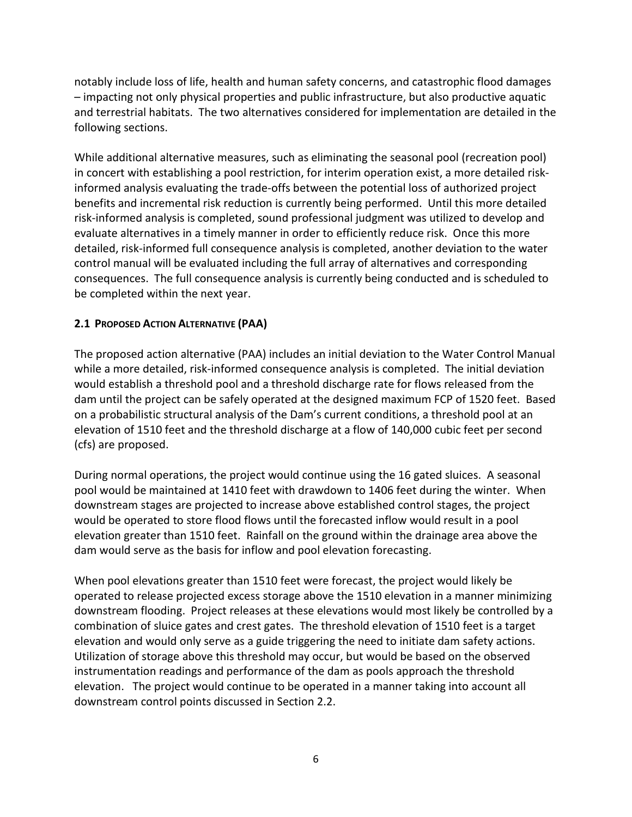notably include loss of life, health and human safety concerns, and catastrophic flood damages – impacting not only physical properties and public infrastructure, but also productive aquatic and terrestrial habitats. The two alternatives considered for implementation are detailed in the following sections.

While additional alternative measures, such as eliminating the seasonal pool (recreation pool) in concert with establishing a pool restriction, for interim operation exist, a more detailed riskinformed analysis evaluating the trade-offs between the potential loss of authorized project benefits and incremental risk reduction is currently being performed. Until this more detailed risk-informed analysis is completed, sound professional judgment was utilized to develop and evaluate alternatives in a timely manner in order to efficiently reduce risk. Once this more detailed, risk-informed full consequence analysis is completed, another deviation to the water control manual will be evaluated including the full array of alternatives and corresponding consequences. The full consequence analysis is currently being conducted and is scheduled to be completed within the next year.

# **2.1 PROPOSED ACTION ALTERNATIVE (PAA)**

The proposed action alternative (PAA) includes an initial deviation to the Water Control Manual while a more detailed, risk-informed consequence analysis is completed. The initial deviation would establish a threshold pool and a threshold discharge rate for flows released from the dam until the project can be safely operated at the designed maximum FCP of 1520 feet. Based on a probabilistic structural analysis of the Dam's current conditions, a threshold pool at an elevation of 1510 feet and the threshold discharge at a flow of 140,000 cubic feet per second (cfs) are proposed.

During normal operations, the project would continue using the 16 gated sluices. A seasonal pool would be maintained at 1410 feet with drawdown to 1406 feet during the winter. When downstream stages are projected to increase above established control stages, the project would be operated to store flood flows until the forecasted inflow would result in a pool elevation greater than 1510 feet. Rainfall on the ground within the drainage area above the dam would serve as the basis for inflow and pool elevation forecasting.

When pool elevations greater than 1510 feet were forecast, the project would likely be operated to release projected excess storage above the 1510 elevation in a manner minimizing downstream flooding. Project releases at these elevations would most likely be controlled by a combination of sluice gates and crest gates. The threshold elevation of 1510 feet is a target elevation and would only serve as a guide triggering the need to initiate dam safety actions. Utilization of storage above this threshold may occur, but would be based on the observed instrumentation readings and performance of the dam as pools approach the threshold elevation. The project would continue to be operated in a manner taking into account all downstream control points discussed in Section 2.2.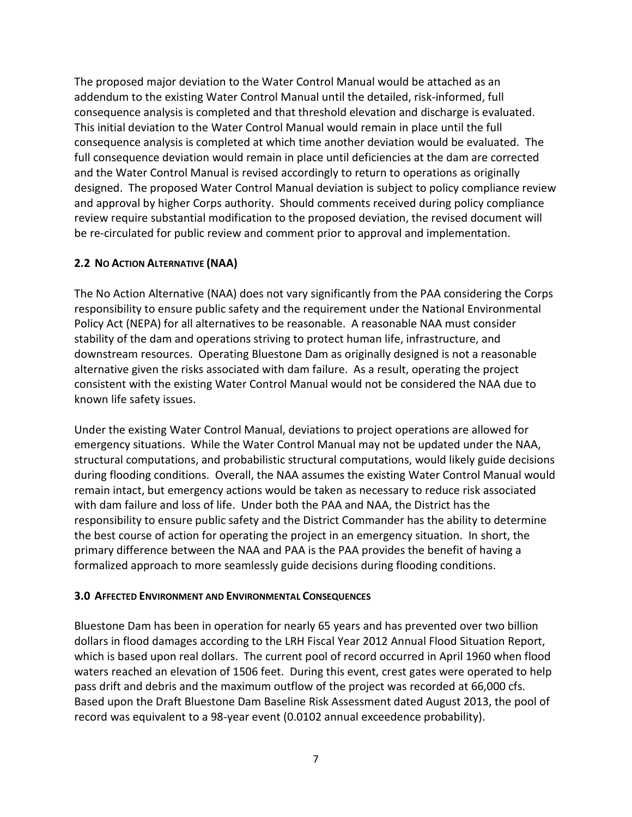The proposed major deviation to the Water Control Manual would be attached as an addendum to the existing Water Control Manual until the detailed, risk-informed, full consequence analysis is completed and that threshold elevation and discharge is evaluated. This initial deviation to the Water Control Manual would remain in place until the full consequence analysis is completed at which time another deviation would be evaluated. The full consequence deviation would remain in place until deficiencies at the dam are corrected and the Water Control Manual is revised accordingly to return to operations as originally designed. The proposed Water Control Manual deviation is subject to policy compliance review and approval by higher Corps authority. Should comments received during policy compliance review require substantial modification to the proposed deviation, the revised document will be re-circulated for public review and comment prior to approval and implementation.

# **2.2 NO ACTION ALTERNATIVE (NAA)**

The No Action Alternative (NAA) does not vary significantly from the PAA considering the Corps responsibility to ensure public safety and the requirement under the National Environmental Policy Act (NEPA) for all alternatives to be reasonable. A reasonable NAA must consider stability of the dam and operations striving to protect human life, infrastructure, and downstream resources. Operating Bluestone Dam as originally designed is not a reasonable alternative given the risks associated with dam failure. As a result, operating the project consistent with the existing Water Control Manual would not be considered the NAA due to known life safety issues.

Under the existing Water Control Manual, deviations to project operations are allowed for emergency situations. While the Water Control Manual may not be updated under the NAA, structural computations, and probabilistic structural computations, would likely guide decisions during flooding conditions. Overall, the NAA assumes the existing Water Control Manual would remain intact, but emergency actions would be taken as necessary to reduce risk associated with dam failure and loss of life. Under both the PAA and NAA, the District has the responsibility to ensure public safety and the District Commander has the ability to determine the best course of action for operating the project in an emergency situation. In short, the primary difference between the NAA and PAA is the PAA provides the benefit of having a formalized approach to more seamlessly guide decisions during flooding conditions.

# **3.0 AFFECTED ENVIRONMENT AND ENVIRONMENTAL CONSEQUENCES**

Bluestone Dam has been in operation for nearly 65 years and has prevented over two billion dollars in flood damages according to the LRH Fiscal Year 2012 Annual Flood Situation Report, which is based upon real dollars. The current pool of record occurred in April 1960 when flood waters reached an elevation of 1506 feet. During this event, crest gates were operated to help pass drift and debris and the maximum outflow of the project was recorded at 66,000 cfs. Based upon the Draft Bluestone Dam Baseline Risk Assessment dated August 2013, the pool of record was equivalent to a 98-year event (0.0102 annual exceedence probability).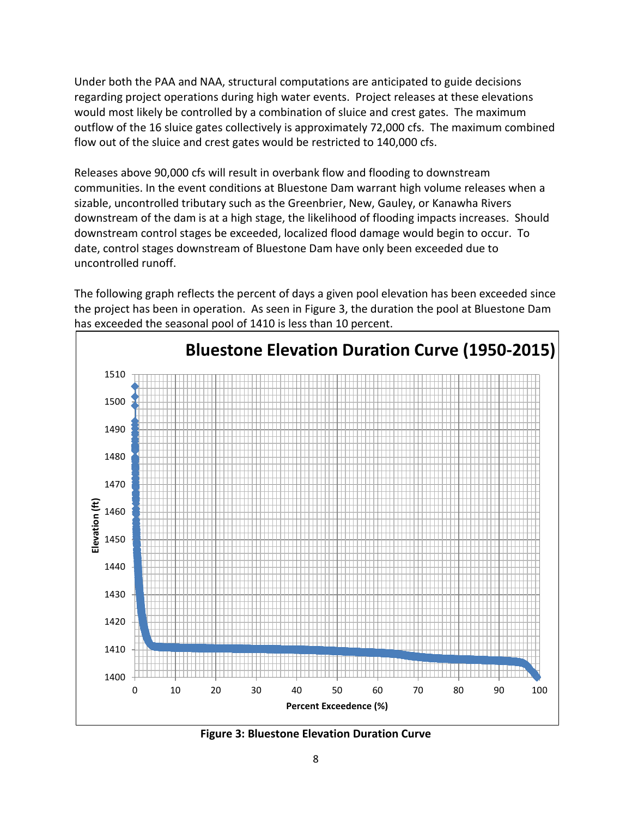Under both the PAA and NAA, structural computations are anticipated to guide decisions regarding project operations during high water events. Project releases at these elevations would most likely be controlled by a combination of sluice and crest gates. The maximum outflow of the 16 sluice gates collectively is approximately 72,000 cfs. The maximum combined flow out of the sluice and crest gates would be restricted to 140,000 cfs.

Releases above 90,000 cfs will result in overbank flow and flooding to downstream communities. In the event conditions at Bluestone Dam warrant high volume releases when a sizable, uncontrolled tributary such as the Greenbrier, New, Gauley, or Kanawha Rivers downstream of the dam is at a high stage, the likelihood of flooding impacts increases. Should downstream control stages be exceeded, localized flood damage would begin to occur. To date, control stages downstream of Bluestone Dam have only been exceeded due to uncontrolled runoff.

The following graph reflects the percent of days a given pool elevation has been exceeded since the project has been in operation. As seen in Figure 3, the duration the pool at Bluestone Dam has exceeded the seasonal pool of 1410 is less than 10 percent.



**Figure 3: Bluestone Elevation Duration Curve**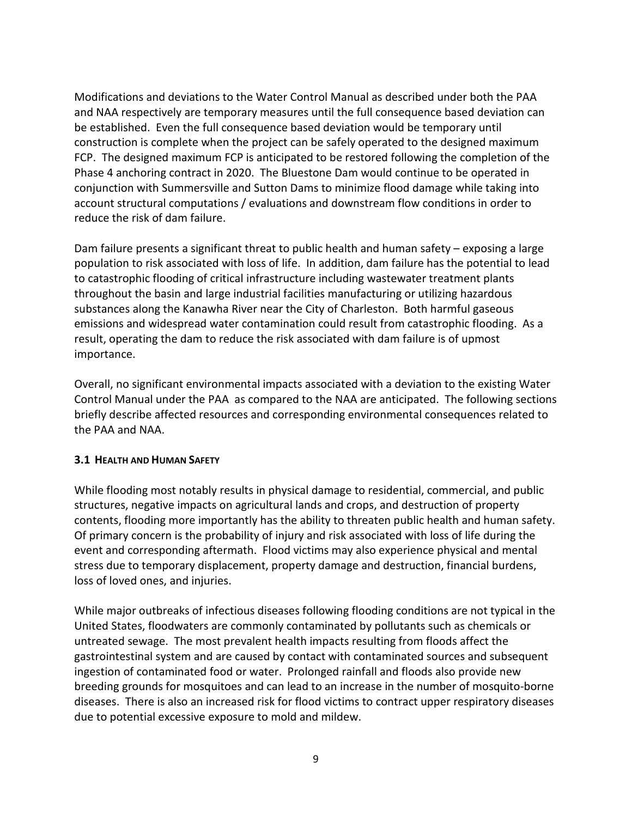Modifications and deviations to the Water Control Manual as described under both the PAA and NAA respectively are temporary measures until the full consequence based deviation can be established. Even the full consequence based deviation would be temporary until construction is complete when the project can be safely operated to the designed maximum FCP. The designed maximum FCP is anticipated to be restored following the completion of the Phase 4 anchoring contract in 2020. The Bluestone Dam would continue to be operated in conjunction with Summersville and Sutton Dams to minimize flood damage while taking into account structural computations / evaluations and downstream flow conditions in order to reduce the risk of dam failure.

Dam failure presents a significant threat to public health and human safety – exposing a large population to risk associated with loss of life. In addition, dam failure has the potential to lead to catastrophic flooding of critical infrastructure including wastewater treatment plants throughout the basin and large industrial facilities manufacturing or utilizing hazardous substances along the Kanawha River near the City of Charleston. Both harmful gaseous emissions and widespread water contamination could result from catastrophic flooding. As a result, operating the dam to reduce the risk associated with dam failure is of upmost importance.

Overall, no significant environmental impacts associated with a deviation to the existing Water Control Manual under the PAA as compared to the NAA are anticipated. The following sections briefly describe affected resources and corresponding environmental consequences related to the PAA and NAA.

#### **3.1 HEALTH AND HUMAN SAFETY**

While flooding most notably results in physical damage to residential, commercial, and public structures, negative impacts on agricultural lands and crops, and destruction of property contents, flooding more importantly has the ability to threaten public health and human safety. Of primary concern is the probability of injury and risk associated with loss of life during the event and corresponding aftermath. Flood victims may also experience physical and mental stress due to temporary displacement, property damage and destruction, financial burdens, loss of loved ones, and injuries.

While major outbreaks of infectious diseases following flooding conditions are not typical in the United States, floodwaters are commonly contaminated by pollutants such as chemicals or untreated sewage. The most prevalent health impacts resulting from floods affect the gastrointestinal system and are caused by contact with contaminated sources and subsequent ingestion of contaminated food or water. Prolonged rainfall and floods also provide new breeding grounds for mosquitoes and can lead to an increase in the number of mosquito-borne diseases. There is also an increased risk for flood victims to contract upper respiratory diseases due to potential excessive exposure to mold and mildew.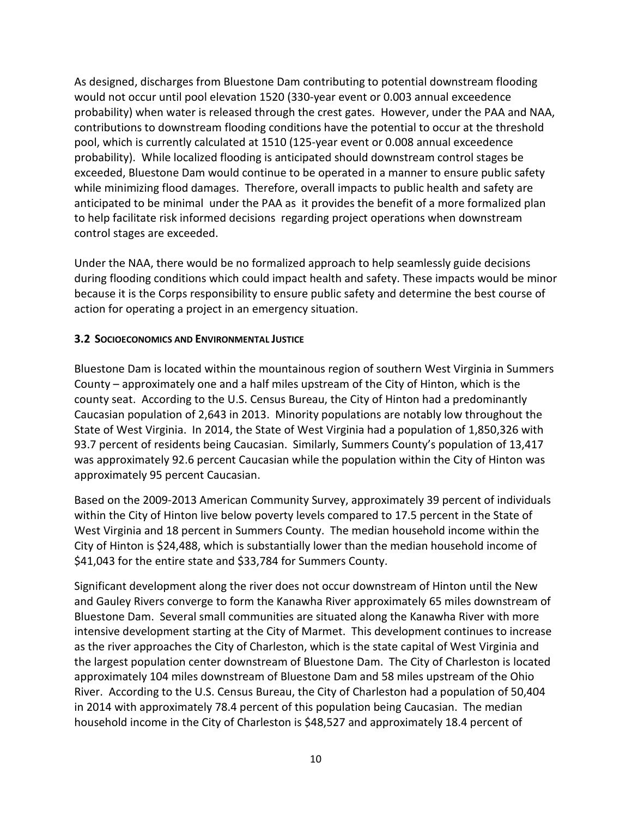As designed, discharges from Bluestone Dam contributing to potential downstream flooding would not occur until pool elevation 1520 (330-year event or 0.003 annual exceedence probability) when water is released through the crest gates. However, under the PAA and NAA, contributions to downstream flooding conditions have the potential to occur at the threshold pool, which is currently calculated at 1510 (125-year event or 0.008 annual exceedence probability). While localized flooding is anticipated should downstream control stages be exceeded, Bluestone Dam would continue to be operated in a manner to ensure public safety while minimizing flood damages. Therefore, overall impacts to public health and safety are anticipated to be minimal under the PAA as it provides the benefit of a more formalized plan to help facilitate risk informed decisions regarding project operations when downstream control stages are exceeded.

Under the NAA, there would be no formalized approach to help seamlessly guide decisions during flooding conditions which could impact health and safety. These impacts would be minor because it is the Corps responsibility to ensure public safety and determine the best course of action for operating a project in an emergency situation.

## **3.2 SOCIOECONOMICS AND ENVIRONMENTAL JUSTICE**

Bluestone Dam is located within the mountainous region of southern West Virginia in Summers County – approximately one and a half miles upstream of the City of Hinton, which is the county seat. According to the U.S. Census Bureau, the City of Hinton had a predominantly Caucasian population of 2,643 in 2013. Minority populations are notably low throughout the State of West Virginia. In 2014, the State of West Virginia had a population of 1,850,326 with 93.7 percent of residents being Caucasian. Similarly, Summers County's population of 13,417 was approximately 92.6 percent Caucasian while the population within the City of Hinton was approximately 95 percent Caucasian.

Based on the 2009-2013 American Community Survey, approximately 39 percent of individuals within the City of Hinton live below poverty levels compared to 17.5 percent in the State of West Virginia and 18 percent in Summers County. The median household income within the City of Hinton is \$24,488, which is substantially lower than the median household income of \$41,043 for the entire state and \$33,784 for Summers County.

Significant development along the river does not occur downstream of Hinton until the New and Gauley Rivers converge to form the Kanawha River approximately 65 miles downstream of Bluestone Dam. Several small communities are situated along the Kanawha River with more intensive development starting at the City of Marmet. This development continues to increase as the river approaches the City of Charleston, which is the state capital of West Virginia and the largest population center downstream of Bluestone Dam. The City of Charleston is located approximately 104 miles downstream of Bluestone Dam and 58 miles upstream of the Ohio River. According to the U.S. Census Bureau, the City of Charleston had a population of 50,404 in 2014 with approximately 78.4 percent of this population being Caucasian. The median household income in the City of Charleston is \$48,527 and approximately 18.4 percent of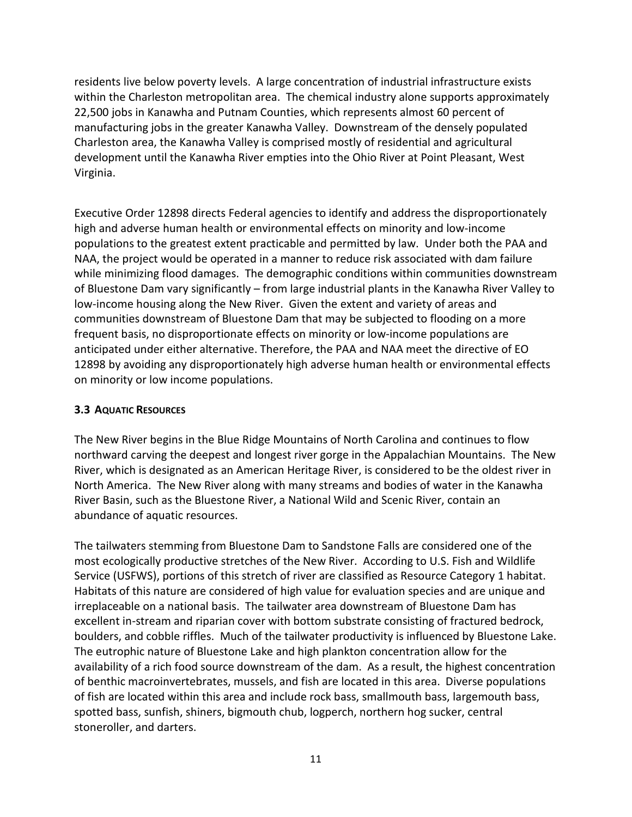residents live below poverty levels. A large concentration of industrial infrastructure exists within the Charleston metropolitan area. The chemical industry alone supports approximately 22,500 jobs in Kanawha and Putnam Counties, which represents almost 60 percent of manufacturing jobs in the greater Kanawha Valley. Downstream of the densely populated Charleston area, the Kanawha Valley is comprised mostly of residential and agricultural development until the Kanawha River empties into the Ohio River at Point Pleasant, West Virginia.

Executive Order 12898 directs Federal agencies to identify and address the disproportionately high and adverse human health or environmental effects on minority and low-income populations to the greatest extent practicable and permitted by law. Under both the PAA and NAA, the project would be operated in a manner to reduce risk associated with dam failure while minimizing flood damages. The demographic conditions within communities downstream of Bluestone Dam vary significantly – from large industrial plants in the Kanawha River Valley to low-income housing along the New River. Given the extent and variety of areas and communities downstream of Bluestone Dam that may be subjected to flooding on a more frequent basis, no disproportionate effects on minority or low-income populations are anticipated under either alternative. Therefore, the PAA and NAA meet the directive of EO 12898 by avoiding any disproportionately high adverse human health or environmental effects on minority or low income populations.

#### **3.3 AQUATIC RESOURCES**

The New River begins in the Blue Ridge Mountains of North Carolina and continues to flow northward carving the deepest and longest river gorge in the Appalachian Mountains. The New River, which is designated as an American Heritage River, is considered to be the oldest river in North America. The New River along with many streams and bodies of water in the Kanawha River Basin, such as the Bluestone River, a National Wild and Scenic River, contain an abundance of aquatic resources.

The tailwaters stemming from Bluestone Dam to Sandstone Falls are considered one of the most ecologically productive stretches of the New River. According to U.S. Fish and Wildlife Service (USFWS), portions of this stretch of river are classified as Resource Category 1 habitat. Habitats of this nature are considered of high value for evaluation species and are unique and irreplaceable on a national basis. The tailwater area downstream of Bluestone Dam has excellent in-stream and riparian cover with bottom substrate consisting of fractured bedrock, boulders, and cobble riffles. Much of the tailwater productivity is influenced by Bluestone Lake. The eutrophic nature of Bluestone Lake and high plankton concentration allow for the availability of a rich food source downstream of the dam. As a result, the highest concentration of benthic macroinvertebrates, mussels, and fish are located in this area. Diverse populations of fish are located within this area and include rock bass, smallmouth bass, largemouth bass, spotted bass, sunfish, shiners, bigmouth chub, logperch, northern hog sucker, central stoneroller, and darters.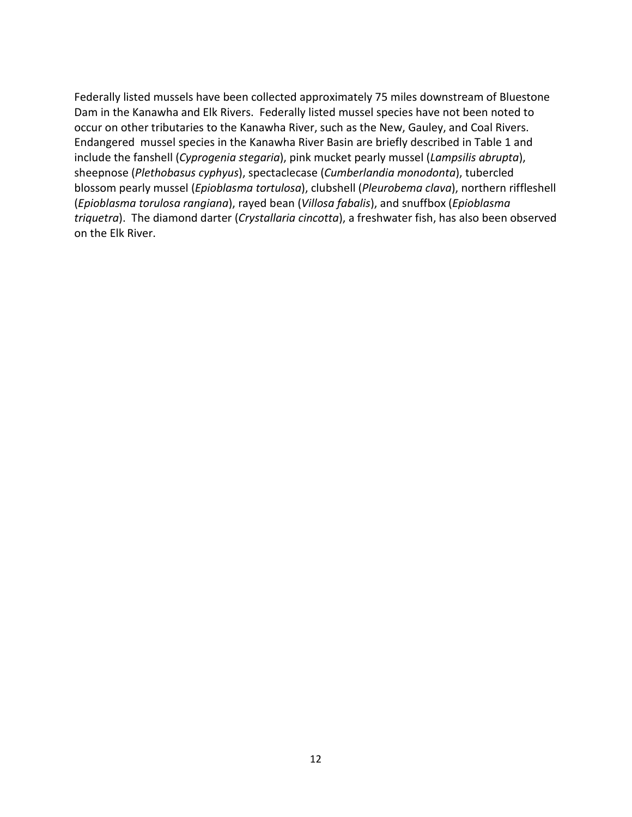Federally listed mussels have been collected approximately 75 miles downstream of Bluestone Dam in the Kanawha and Elk Rivers. Federally listed mussel species have not been noted to occur on other tributaries to the Kanawha River, such as the New, Gauley, and Coal Rivers. Endangered mussel species in the Kanawha River Basin are briefly described in Table 1 and include the fanshell (*Cyprogenia stegaria*), pink mucket pearly mussel (*Lampsilis abrupta*), sheepnose (*Plethobasus cyphyus*), spectaclecase (*Cumberlandia monodonta*), tubercled blossom pearly mussel (*Epioblasma tortulosa*), clubshell (*Pleurobema clava*), northern riffleshell (*Epioblasma torulosa rangiana*), rayed bean (*Villosa fabalis*), and snuffbox (*Epioblasma triquetra*). The diamond darter (*Crystallaria cincotta*), a freshwater fish, has also been observed on the Elk River.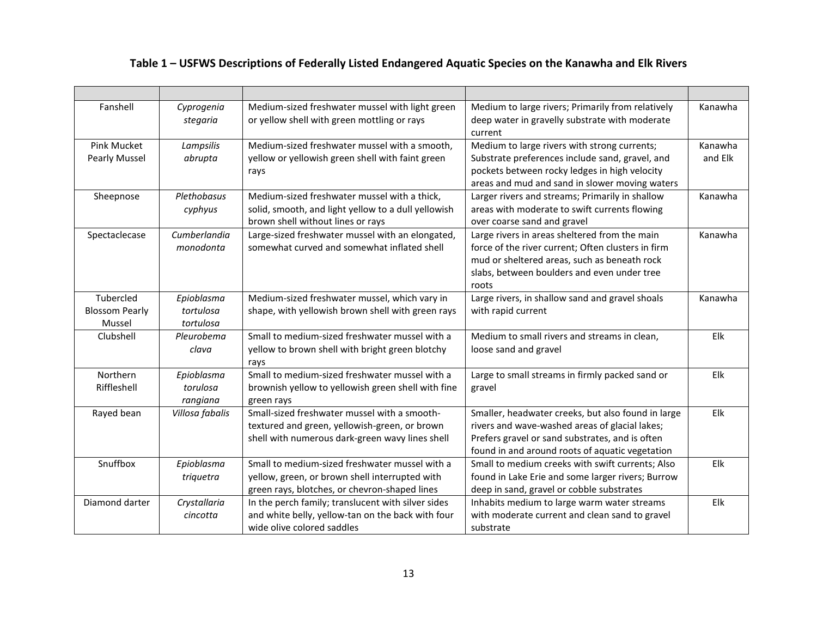| Fanshell                                     | Cyprogenia<br>stegaria               | Medium-sized freshwater mussel with light green<br>or yellow shell with green mottling or rays                                                    | Medium to large rivers; Primarily from relatively<br>deep water in gravelly substrate with moderate<br>current                                                                                              | Kanawha            |
|----------------------------------------------|--------------------------------------|---------------------------------------------------------------------------------------------------------------------------------------------------|-------------------------------------------------------------------------------------------------------------------------------------------------------------------------------------------------------------|--------------------|
| Pink Mucket<br>Pearly Mussel                 | Lampsilis<br>abrupta                 | Medium-sized freshwater mussel with a smooth,<br>yellow or yellowish green shell with faint green<br>rays                                         | Medium to large rivers with strong currents;<br>Substrate preferences include sand, gravel, and<br>pockets between rocky ledges in high velocity<br>areas and mud and sand in slower moving waters          | Kanawha<br>and Elk |
| Sheepnose                                    | Plethobasus<br>cyphyus               | Medium-sized freshwater mussel with a thick,<br>solid, smooth, and light yellow to a dull yellowish<br>brown shell without lines or rays          | Larger rivers and streams; Primarily in shallow<br>areas with moderate to swift currents flowing<br>over coarse sand and gravel                                                                             | Kanawha            |
| Spectaclecase                                | Cumberlandia<br>monodonta            | Large-sized freshwater mussel with an elongated,<br>somewhat curved and somewhat inflated shell                                                   | Large rivers in areas sheltered from the main<br>force of the river current; Often clusters in firm<br>mud or sheltered areas, such as beneath rock<br>slabs, between boulders and even under tree<br>roots | Kanawha            |
| Tubercled<br><b>Blossom Pearly</b><br>Mussel | Epioblasma<br>tortulosa<br>tortulosa | Medium-sized freshwater mussel, which vary in<br>shape, with yellowish brown shell with green rays                                                | Large rivers, in shallow sand and gravel shoals<br>with rapid current                                                                                                                                       | Kanawha            |
| Clubshell                                    | Pleurobema<br>clava                  | Small to medium-sized freshwater mussel with a<br>yellow to brown shell with bright green blotchy<br>rays                                         | Medium to small rivers and streams in clean,<br>loose sand and gravel                                                                                                                                       | Elk                |
| Northern<br>Riffleshell                      | Epioblasma<br>torulosa<br>rangiana   | Small to medium-sized freshwater mussel with a<br>brownish yellow to yellowish green shell with fine<br>green rays                                | Large to small streams in firmly packed sand or<br>gravel                                                                                                                                                   | Elk                |
| Rayed bean                                   | Villosa fabalis                      | Small-sized freshwater mussel with a smooth-<br>textured and green, yellowish-green, or brown<br>shell with numerous dark-green wavy lines shell  | Smaller, headwater creeks, but also found in large<br>rivers and wave-washed areas of glacial lakes;<br>Prefers gravel or sand substrates, and is often<br>found in and around roots of aquatic vegetation  | Elk                |
| Snuffbox                                     | Epioblasma<br>triquetra              | Small to medium-sized freshwater mussel with a<br>yellow, green, or brown shell interrupted with<br>green rays, blotches, or chevron-shaped lines | Small to medium creeks with swift currents; Also<br>found in Lake Erie and some larger rivers; Burrow<br>deep in sand, gravel or cobble substrates                                                          | Elk                |
| Diamond darter                               | Crystallaria<br>cincotta             | In the perch family; translucent with silver sides<br>and white belly, yellow-tan on the back with four<br>wide olive colored saddles             | Inhabits medium to large warm water streams<br>with moderate current and clean sand to gravel<br>substrate                                                                                                  | Elk                |

# **Table 1 – USFWS Descriptions of Federally Listed Endangered Aquatic Species on the Kanawha and Elk Rivers**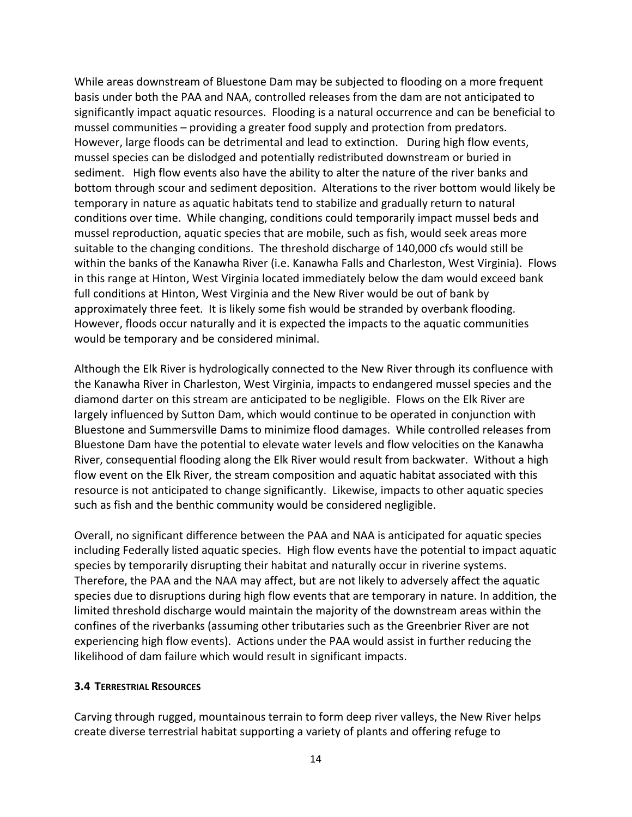While areas downstream of Bluestone Dam may be subjected to flooding on a more frequent basis under both the PAA and NAA, controlled releases from the dam are not anticipated to significantly impact aquatic resources. Flooding is a natural occurrence and can be beneficial to mussel communities – providing a greater food supply and protection from predators. However, large floods can be detrimental and lead to extinction. During high flow events, mussel species can be dislodged and potentially redistributed downstream or buried in sediment. High flow events also have the ability to alter the nature of the river banks and bottom through scour and sediment deposition. Alterations to the river bottom would likely be temporary in nature as aquatic habitats tend to stabilize and gradually return to natural conditions over time. While changing, conditions could temporarily impact mussel beds and mussel reproduction, aquatic species that are mobile, such as fish, would seek areas more suitable to the changing conditions. The threshold discharge of 140,000 cfs would still be within the banks of the Kanawha River (i.e. Kanawha Falls and Charleston, West Virginia). Flows in this range at Hinton, West Virginia located immediately below the dam would exceed bank full conditions at Hinton, West Virginia and the New River would be out of bank by approximately three feet. It is likely some fish would be stranded by overbank flooding. However, floods occur naturally and it is expected the impacts to the aquatic communities would be temporary and be considered minimal.

Although the Elk River is hydrologically connected to the New River through its confluence with the Kanawha River in Charleston, West Virginia, impacts to endangered mussel species and the diamond darter on this stream are anticipated to be negligible. Flows on the Elk River are largely influenced by Sutton Dam, which would continue to be operated in conjunction with Bluestone and Summersville Dams to minimize flood damages. While controlled releases from Bluestone Dam have the potential to elevate water levels and flow velocities on the Kanawha River, consequential flooding along the Elk River would result from backwater. Without a high flow event on the Elk River, the stream composition and aquatic habitat associated with this resource is not anticipated to change significantly. Likewise, impacts to other aquatic species such as fish and the benthic community would be considered negligible.

Overall, no significant difference between the PAA and NAA is anticipated for aquatic species including Federally listed aquatic species. High flow events have the potential to impact aquatic species by temporarily disrupting their habitat and naturally occur in riverine systems. Therefore, the PAA and the NAA may affect, but are not likely to adversely affect the aquatic species due to disruptions during high flow events that are temporary in nature. In addition, the limited threshold discharge would maintain the majority of the downstream areas within the confines of the riverbanks (assuming other tributaries such as the Greenbrier River are not experiencing high flow events). Actions under the PAA would assist in further reducing the likelihood of dam failure which would result in significant impacts.

#### **3.4 TERRESTRIAL RESOURCES**

Carving through rugged, mountainous terrain to form deep river valleys, the New River helps create diverse terrestrial habitat supporting a variety of plants and offering refuge to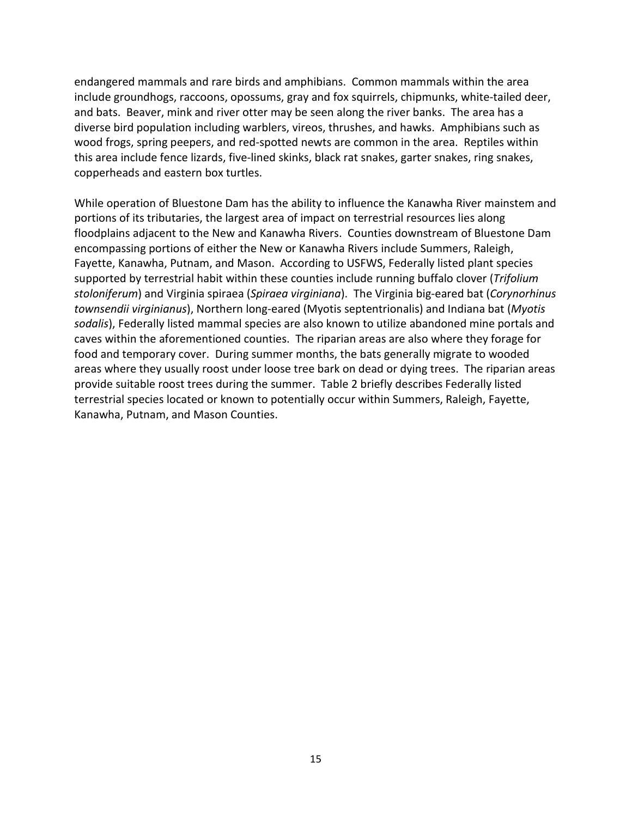endangered mammals and rare birds and amphibians. Common mammals within the area include groundhogs, raccoons, opossums, gray and fox squirrels, chipmunks, white-tailed deer, and bats. Beaver, mink and river otter may be seen along the river banks. The area has a diverse bird population including warblers, vireos, thrushes, and hawks. Amphibians such as wood frogs, spring peepers, and red-spotted newts are common in the area. Reptiles within this area include fence lizards, five-lined skinks, black rat snakes, garter snakes, ring snakes, copperheads and eastern box turtles.

While operation of Bluestone Dam has the ability to influence the Kanawha River mainstem and portions of its tributaries, the largest area of impact on terrestrial resources lies along floodplains adjacent to the New and Kanawha Rivers. Counties downstream of Bluestone Dam encompassing portions of either the New or Kanawha Rivers include Summers, Raleigh, Fayette, Kanawha, Putnam, and Mason. According to USFWS, Federally listed plant species supported by terrestrial habit within these counties include running buffalo clover (*Trifolium stoloniferum*) and Virginia spiraea (*Spiraea virginiana*). The Virginia big-eared bat (*Corynorhinus townsendii virginianus*), Northern long-eared (Myotis septentrionalis) and Indiana bat (*Myotis sodalis*), Federally listed mammal species are also known to utilize abandoned mine portals and caves within the aforementioned counties. The riparian areas are also where they forage for food and temporary cover. During summer months, the bats generally migrate to wooded areas where they usually roost under loose tree bark on dead or dying trees. The riparian areas provide suitable roost trees during the summer. Table 2 briefly describes Federally listed terrestrial species located or known to potentially occur within Summers, Raleigh, Fayette, Kanawha, Putnam, and Mason Counties.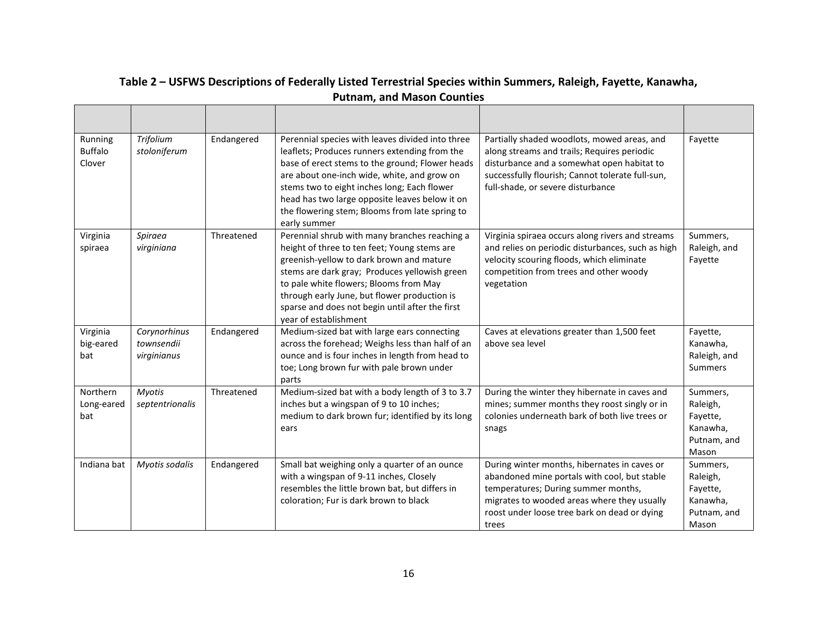| Running<br><b>Buffalo</b><br>Clover | Trifolium<br>stoloniferum                 | Endangered | Perennial species with leaves divided into three<br>leaflets; Produces runners extending from the<br>base of erect stems to the ground; Flower heads<br>are about one-inch wide, white, and grow on<br>stems two to eight inches long; Each flower<br>head has two large opposite leaves below it on<br>the flowering stem; Blooms from late spring to<br>early summer | Partially shaded woodlots, mowed areas, and<br>along streams and trails; Requires periodic<br>disturbance and a somewhat open habitat to<br>successfully flourish; Cannot tolerate full-sun,<br>full-shade, or severe disturbance           | Fayette                                                              |
|-------------------------------------|-------------------------------------------|------------|------------------------------------------------------------------------------------------------------------------------------------------------------------------------------------------------------------------------------------------------------------------------------------------------------------------------------------------------------------------------|---------------------------------------------------------------------------------------------------------------------------------------------------------------------------------------------------------------------------------------------|----------------------------------------------------------------------|
| Virginia<br>spiraea                 | Spiraea<br>virginiana                     | Threatened | Perennial shrub with many branches reaching a<br>height of three to ten feet; Young stems are<br>greenish-yellow to dark brown and mature<br>stems are dark gray; Produces yellowish green<br>to pale white flowers; Blooms from May<br>through early June, but flower production is<br>sparse and does not begin until after the first<br>year of establishment       | Virginia spiraea occurs along rivers and streams<br>and relies on periodic disturbances, such as high<br>velocity scouring floods, which eliminate<br>competition from trees and other woody<br>vegetation                                  | Summers,<br>Raleigh, and<br>Fayette                                  |
| Virginia<br>big-eared<br>bat        | Corynorhinus<br>townsendii<br>virginianus | Endangered | Medium-sized bat with large ears connecting<br>across the forehead; Weighs less than half of an<br>ounce and is four inches in length from head to<br>toe; Long brown fur with pale brown under<br>parts                                                                                                                                                               | Caves at elevations greater than 1,500 feet<br>above sea level                                                                                                                                                                              | Fayette,<br>Kanawha,<br>Raleigh, and<br>Summers                      |
| Northern<br>Long-eared<br>bat       | <b>Myotis</b><br>septentrionalis          | Threatened | Medium-sized bat with a body length of 3 to 3.7<br>inches but a wingspan of 9 to 10 inches;<br>medium to dark brown fur; identified by its long<br>ears                                                                                                                                                                                                                | During the winter they hibernate in caves and<br>mines; summer months they roost singly or in<br>colonies underneath bark of both live trees or<br>snags                                                                                    | Summers,<br>Raleigh,<br>Fayette,<br>Kanawha,<br>Putnam, and<br>Mason |
| Indiana bat                         | Myotis sodalis                            | Endangered | Small bat weighing only a quarter of an ounce<br>with a wingspan of 9-11 inches, Closely<br>resembles the little brown bat, but differs in<br>coloration; Fur is dark brown to black                                                                                                                                                                                   | During winter months, hibernates in caves or<br>abandoned mine portals with cool, but stable<br>temperatures; During summer months,<br>migrates to wooded areas where they usually<br>roost under loose tree bark on dead or dying<br>trees | Summers,<br>Raleigh,<br>Fayette,<br>Kanawha,<br>Putnam, and<br>Mason |

# **Table 2 – USFWS Descriptions of Federally Listed Terrestrial Species within Summers, Raleigh, Fayette, Kanawha, Putnam, and Mason Counties**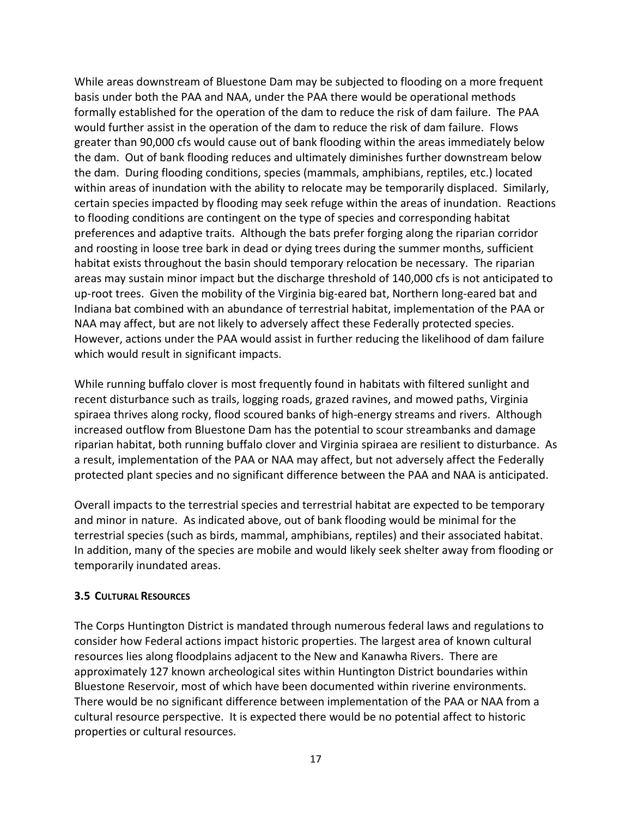While areas downstream of Bluestone Dam may be subjected to flooding on a more frequent basis under both the PAA and NAA, under the PAA there would be operational methods formally established for the operation of the dam to reduce the risk of dam failure. The PAA would further assist in the operation of the dam to reduce the risk of dam failure. Flows greater than 90,000 cfs would cause out of bank flooding within the areas immediately below the dam. Out of bank flooding reduces and ultimately diminishes further downstream below the dam. During flooding conditions, species (mammals, amphibians, reptiles, etc.) located within areas of inundation with the ability to relocate may be temporarily displaced. Similarly, certain species impacted by flooding may seek refuge within the areas of inundation. Reactions to flooding conditions are contingent on the type of species and corresponding habitat preferences and adaptive traits. Although the bats prefer forging along the riparian corridor and roosting in loose tree bark in dead or dying trees during the summer months, sufficient habitat exists throughout the basin should temporary relocation be necessary. The riparian areas may sustain minor impact but the discharge threshold of 140,000 cfs is not anticipated to up-root trees. Given the mobility of the Virginia big-eared bat, Northern long-eared bat and Indiana bat combined with an abundance of terrestrial habitat, implementation of the PAA or NAA may affect, but are not likely to adversely affect these Federally protected species. However, actions under the PAA would assist in further reducing the likelihood of dam failure which would result in significant impacts.

While running buffalo clover is most frequently found in habitats with filtered sunlight and recent disturbance such as trails, logging roads, grazed ravines, and mowed paths, Virginia spiraea thrives along rocky, flood scoured banks of high-energy streams and rivers. Although increased outflow from Bluestone Dam has the potential to scour streambanks and damage riparian habitat, both running buffalo clover and Virginia spiraea are resilient to disturbance. As a result, implementation of the PAA or NAA may affect, but not adversely affect the Federally protected plant species and no significant difference between the PAA and NAA is anticipated.

Overall impacts to the terrestrial species and terrestrial habitat are expected to be temporary and minor in nature. As indicated above, out of bank flooding would be minimal for the terrestrial species (such as birds, mammal, amphibians, reptiles) and their associated habitat. In addition, many of the species are mobile and would likely seek shelter away from flooding or temporarily inundated areas.

#### **3.5 CULTURAL RESOURCES**

The Corps Huntington District is mandated through numerous federal laws and regulations to consider how Federal actions impact historic properties. The largest area of known cultural resources lies along floodplains adjacent to the New and Kanawha Rivers. There are approximately 127 known archeological sites within Huntington District boundaries within Bluestone Reservoir, most of which have been documented within riverine environments. There would be no significant difference between implementation of the PAA or NAA from a cultural resource perspective. It is expected there would be no potential affect to historic properties or cultural resources.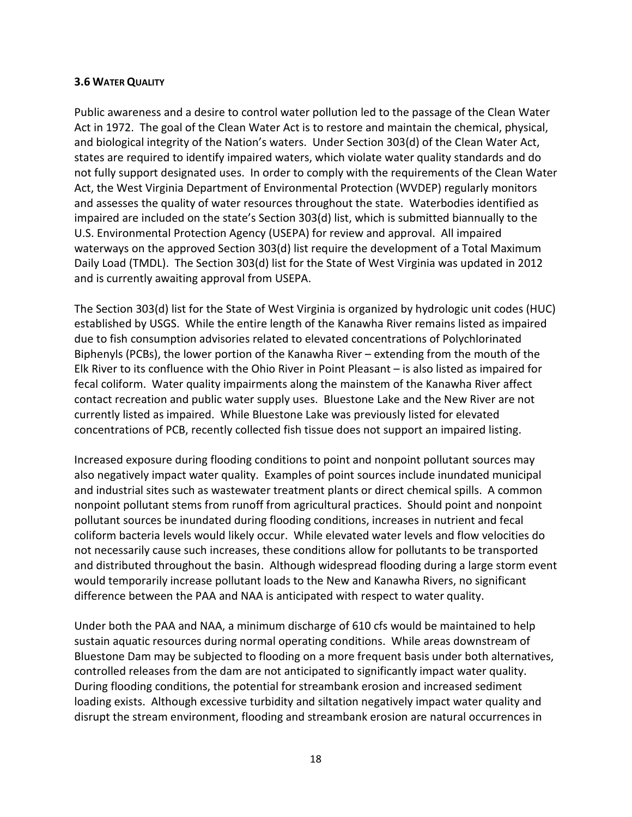#### **3.6 WATER QUALITY**

Public awareness and a desire to control water pollution led to the passage of the Clean Water Act in 1972. The goal of the Clean Water Act is to restore and maintain the chemical, physical, and biological integrity of the Nation's waters. Under Section 303(d) of the Clean Water Act, states are required to identify impaired waters, which violate water quality standards and do not fully support designated uses. In order to comply with the requirements of the Clean Water Act, the West Virginia Department of Environmental Protection (WVDEP) regularly monitors and assesses the quality of water resources throughout the state. Waterbodies identified as impaired are included on the state's Section 303(d) list, which is submitted biannually to the U.S. Environmental Protection Agency (USEPA) for review and approval. All impaired waterways on the approved Section 303(d) list require the development of a Total Maximum Daily Load (TMDL). The Section 303(d) list for the State of West Virginia was updated in 2012 and is currently awaiting approval from USEPA.

The Section 303(d) list for the State of West Virginia is organized by hydrologic unit codes (HUC) established by USGS. While the entire length of the Kanawha River remains listed as impaired due to fish consumption advisories related to elevated concentrations of Polychlorinated Biphenyls (PCBs), the lower portion of the Kanawha River – extending from the mouth of the Elk River to its confluence with the Ohio River in Point Pleasant – is also listed as impaired for fecal coliform. Water quality impairments along the mainstem of the Kanawha River affect contact recreation and public water supply uses. Bluestone Lake and the New River are not currently listed as impaired. While Bluestone Lake was previously listed for elevated concentrations of PCB, recently collected fish tissue does not support an impaired listing.

Increased exposure during flooding conditions to point and nonpoint pollutant sources may also negatively impact water quality. Examples of point sources include inundated municipal and industrial sites such as wastewater treatment plants or direct chemical spills. A common nonpoint pollutant stems from runoff from agricultural practices. Should point and nonpoint pollutant sources be inundated during flooding conditions, increases in nutrient and fecal coliform bacteria levels would likely occur. While elevated water levels and flow velocities do not necessarily cause such increases, these conditions allow for pollutants to be transported and distributed throughout the basin. Although widespread flooding during a large storm event would temporarily increase pollutant loads to the New and Kanawha Rivers, no significant difference between the PAA and NAA is anticipated with respect to water quality.

Under both the PAA and NAA, a minimum discharge of 610 cfs would be maintained to help sustain aquatic resources during normal operating conditions. While areas downstream of Bluestone Dam may be subjected to flooding on a more frequent basis under both alternatives, controlled releases from the dam are not anticipated to significantly impact water quality. During flooding conditions, the potential for streambank erosion and increased sediment loading exists. Although excessive turbidity and siltation negatively impact water quality and disrupt the stream environment, flooding and streambank erosion are natural occurrences in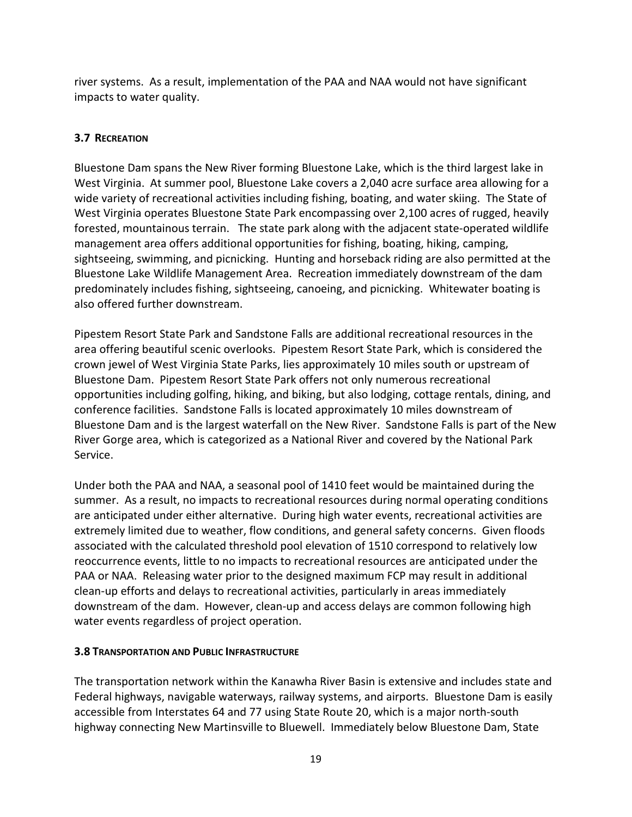river systems. As a result, implementation of the PAA and NAA would not have significant impacts to water quality.

# **3.7 RECREATION**

Bluestone Dam spans the New River forming Bluestone Lake, which is the third largest lake in West Virginia. At summer pool, Bluestone Lake covers a 2,040 acre surface area allowing for a wide variety of recreational activities including fishing, boating, and water skiing. The State of West Virginia operates Bluestone State Park encompassing over 2,100 acres of rugged, heavily forested, mountainous terrain. The state park along with the adjacent state-operated wildlife management area offers additional opportunities for fishing, boating, hiking, camping, sightseeing, swimming, and picnicking. Hunting and horseback riding are also permitted at the Bluestone Lake Wildlife Management Area. Recreation immediately downstream of the dam predominately includes fishing, sightseeing, canoeing, and picnicking. Whitewater boating is also offered further downstream.

Pipestem Resort State Park and Sandstone Falls are additional recreational resources in the area offering beautiful scenic overlooks. Pipestem Resort State Park, which is considered the crown jewel of West Virginia State Parks, lies approximately 10 miles south or upstream of Bluestone Dam. Pipestem Resort State Park offers not only numerous recreational opportunities including golfing, hiking, and biking, but also lodging, cottage rentals, dining, and conference facilities. Sandstone Falls is located approximately 10 miles downstream of Bluestone Dam and is the largest waterfall on the New River. Sandstone Falls is part of the New River Gorge area, which is categorized as a National River and covered by the National Park Service.

Under both the PAA and NAA, a seasonal pool of 1410 feet would be maintained during the summer. As a result, no impacts to recreational resources during normal operating conditions are anticipated under either alternative. During high water events, recreational activities are extremely limited due to weather, flow conditions, and general safety concerns. Given floods associated with the calculated threshold pool elevation of 1510 correspond to relatively low reoccurrence events, little to no impacts to recreational resources are anticipated under the PAA or NAA. Releasing water prior to the designed maximum FCP may result in additional clean-up efforts and delays to recreational activities, particularly in areas immediately downstream of the dam. However, clean-up and access delays are common following high water events regardless of project operation.

# **3.8 TRANSPORTATION AND PUBLIC INFRASTRUCTURE**

The transportation network within the Kanawha River Basin is extensive and includes state and Federal highways, navigable waterways, railway systems, and airports. Bluestone Dam is easily accessible from Interstates 64 and 77 using State Route 20, which is a major north-south highway connecting New Martinsville to Bluewell. Immediately below Bluestone Dam, State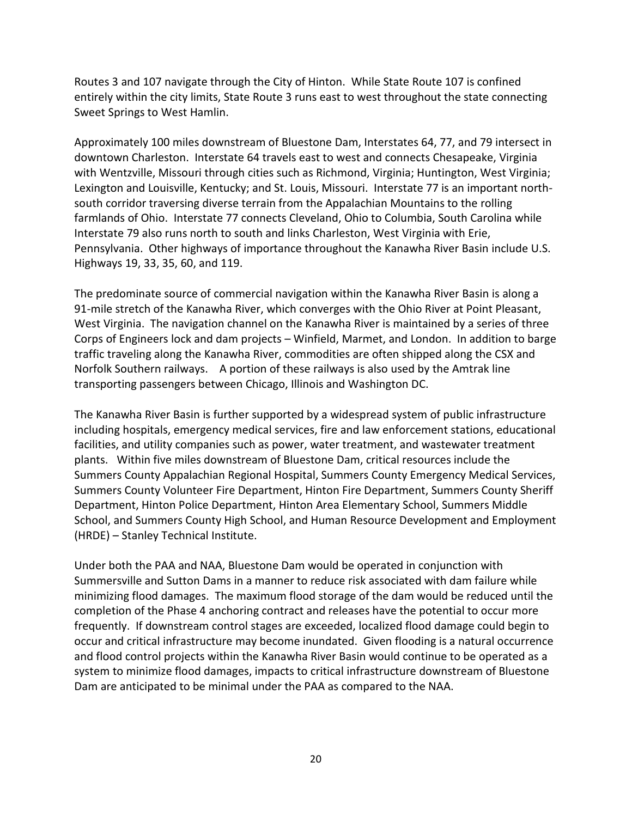Routes 3 and 107 navigate through the City of Hinton. While State Route 107 is confined entirely within the city limits, State Route 3 runs east to west throughout the state connecting Sweet Springs to West Hamlin.

Approximately 100 miles downstream of Bluestone Dam, Interstates 64, 77, and 79 intersect in downtown Charleston. Interstate 64 travels east to west and connects Chesapeake, Virginia with Wentzville, Missouri through cities such as Richmond, Virginia; Huntington, West Virginia; Lexington and Louisville, Kentucky; and St. Louis, Missouri. Interstate 77 is an important northsouth corridor traversing diverse terrain from the Appalachian Mountains to the rolling farmlands of Ohio. Interstate 77 connects Cleveland, Ohio to Columbia, South Carolina while Interstate 79 also runs north to south and links Charleston, West Virginia with Erie, Pennsylvania. Other highways of importance throughout the Kanawha River Basin include U.S. Highways 19, 33, 35, 60, and 119.

The predominate source of commercial navigation within the Kanawha River Basin is along a 91-mile stretch of the Kanawha River, which converges with the Ohio River at Point Pleasant, West Virginia. The navigation channel on the Kanawha River is maintained by a series of three Corps of Engineers lock and dam projects – Winfield, Marmet, and London. In addition to barge traffic traveling along the Kanawha River, commodities are often shipped along the CSX and Norfolk Southern railways. A portion of these railways is also used by the Amtrak line transporting passengers between Chicago, Illinois and Washington DC.

The Kanawha River Basin is further supported by a widespread system of public infrastructure including hospitals, emergency medical services, fire and law enforcement stations, educational facilities, and utility companies such as power, water treatment, and wastewater treatment plants. Within five miles downstream of Bluestone Dam, critical resources include the Summers County Appalachian Regional Hospital, Summers County Emergency Medical Services, Summers County Volunteer Fire Department, Hinton Fire Department, Summers County Sheriff Department, Hinton Police Department, Hinton Area Elementary School, Summers Middle School, and Summers County High School, and Human Resource Development and Employment (HRDE) – Stanley Technical Institute.

Under both the PAA and NAA, Bluestone Dam would be operated in conjunction with Summersville and Sutton Dams in a manner to reduce risk associated with dam failure while minimizing flood damages. The maximum flood storage of the dam would be reduced until the completion of the Phase 4 anchoring contract and releases have the potential to occur more frequently. If downstream control stages are exceeded, localized flood damage could begin to occur and critical infrastructure may become inundated. Given flooding is a natural occurrence and flood control projects within the Kanawha River Basin would continue to be operated as a system to minimize flood damages, impacts to critical infrastructure downstream of Bluestone Dam are anticipated to be minimal under the PAA as compared to the NAA.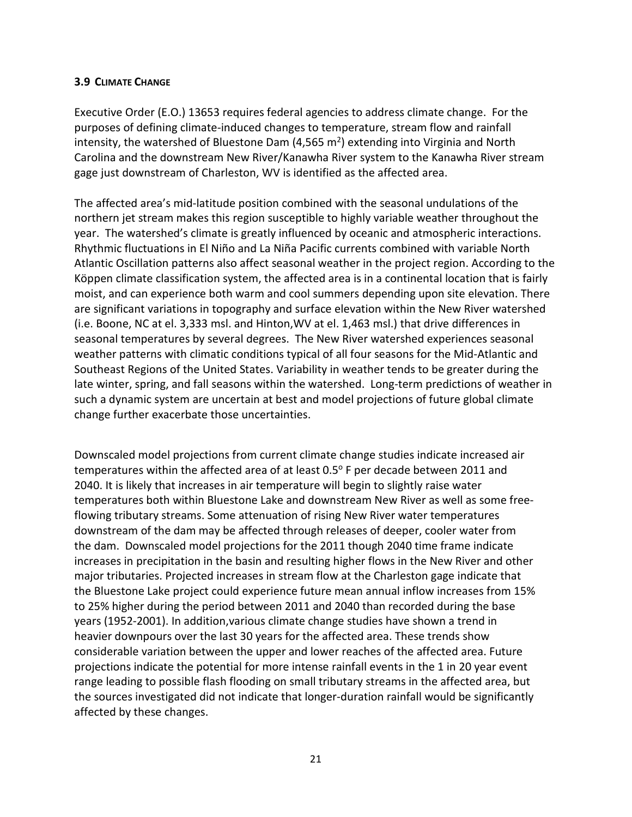#### **3.9 CLIMATE CHANGE**

Executive Order (E.O.) 13653 requires federal agencies to address climate change. For the purposes of defining climate-induced changes to temperature, stream flow and rainfall intensity, the watershed of Bluestone Dam  $(4,565 \text{ m}^2)$  extending into Virginia and North Carolina and the downstream New River/Kanawha River system to the Kanawha River stream gage just downstream of Charleston, WV is identified as the affected area.

The affected area's mid-latitude position combined with the seasonal undulations of the northern jet stream makes this region susceptible to highly variable weather throughout the year. The watershed's climate is greatly influenced by oceanic and atmospheric interactions. Rhythmic fluctuations in El Niño and La Niña Pacific currents combined with variable North Atlantic Oscillation patterns also affect seasonal weather in the project region. According to the Köppen climate classification system, the affected area is in a continental location that is fairly moist, and can experience both warm and cool summers depending upon site elevation. There are significant variations in topography and surface elevation within the New River watershed (i.e. Boone, NC at el. 3,333 msl. and Hinton,WV at el. 1,463 msl.) that drive differences in seasonal temperatures by several degrees. The New River watershed experiences seasonal weather patterns with climatic conditions typical of all four seasons for the Mid-Atlantic and Southeast Regions of the United States. Variability in weather tends to be greater during the late winter, spring, and fall seasons within the watershed. Long-term predictions of weather in such a dynamic system are uncertain at best and model projections of future global climate change further exacerbate those uncertainties.

Downscaled model projections from current climate change studies indicate increased air temperatures within the affected area of at least  $0.5^{\circ}$  F per decade between 2011 and 2040. It is likely that increases in air temperature will begin to slightly raise water temperatures both within Bluestone Lake and downstream New River as well as some freeflowing tributary streams. Some attenuation of rising New River water temperatures downstream of the dam may be affected through releases of deeper, cooler water from the dam. Downscaled model projections for the 2011 though 2040 time frame indicate increases in precipitation in the basin and resulting higher flows in the New River and other major tributaries. Projected increases in stream flow at the Charleston gage indicate that the Bluestone Lake project could experience future mean annual inflow increases from 15% to 25% higher during the period between 2011 and 2040 than recorded during the base years (1952-2001). In addition,various climate change studies have shown a trend in heavier downpours over the last 30 years for the affected area. These trends show considerable variation between the upper and lower reaches of the affected area. Future projections indicate the potential for more intense rainfall events in the 1 in 20 year event range leading to possible flash flooding on small tributary streams in the affected area, but the sources investigated did not indicate that longer-duration rainfall would be significantly affected by these changes.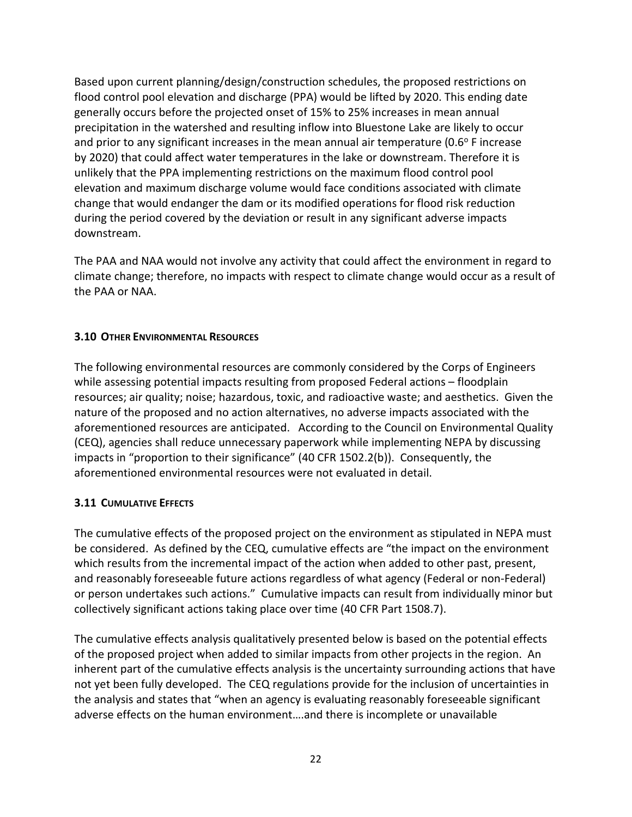Based upon current planning/design/construction schedules, the proposed restrictions on flood control pool elevation and discharge (PPA) would be lifted by 2020. This ending date generally occurs before the projected onset of 15% to 25% increases in mean annual precipitation in the watershed and resulting inflow into Bluestone Lake are likely to occur and prior to any significant increases in the mean annual air temperature ( $0.6^\circ$  F increase by 2020) that could affect water temperatures in the lake or downstream. Therefore it is unlikely that the PPA implementing restrictions on the maximum flood control pool elevation and maximum discharge volume would face conditions associated with climate change that would endanger the dam or its modified operations for flood risk reduction during the period covered by the deviation or result in any significant adverse impacts downstream.

The PAA and NAA would not involve any activity that could affect the environment in regard to climate change; therefore, no impacts with respect to climate change would occur as a result of the PAA or NAA.

#### **3.10 OTHER ENVIRONMENTAL RESOURCES**

The following environmental resources are commonly considered by the Corps of Engineers while assessing potential impacts resulting from proposed Federal actions – floodplain resources; air quality; noise; hazardous, toxic, and radioactive waste; and aesthetics. Given the nature of the proposed and no action alternatives, no adverse impacts associated with the aforementioned resources are anticipated. According to the Council on Environmental Quality (CEQ), agencies shall reduce unnecessary paperwork while implementing NEPA by discussing impacts in "proportion to their significance" (40 CFR 1502.2(b)). Consequently, the aforementioned environmental resources were not evaluated in detail.

#### **3.11 CUMULATIVE EFFECTS**

The cumulative effects of the proposed project on the environment as stipulated in NEPA must be considered. As defined by the CEQ, cumulative effects are "the impact on the environment which results from the incremental impact of the action when added to other past, present, and reasonably foreseeable future actions regardless of what agency (Federal or non-Federal) or person undertakes such actions." Cumulative impacts can result from individually minor but collectively significant actions taking place over time (40 CFR Part 1508.7).

The cumulative effects analysis qualitatively presented below is based on the potential effects of the proposed project when added to similar impacts from other projects in the region. An inherent part of the cumulative effects analysis is the uncertainty surrounding actions that have not yet been fully developed. The CEQ regulations provide for the inclusion of uncertainties in the analysis and states that "when an agency is evaluating reasonably foreseeable significant adverse effects on the human environment….and there is incomplete or unavailable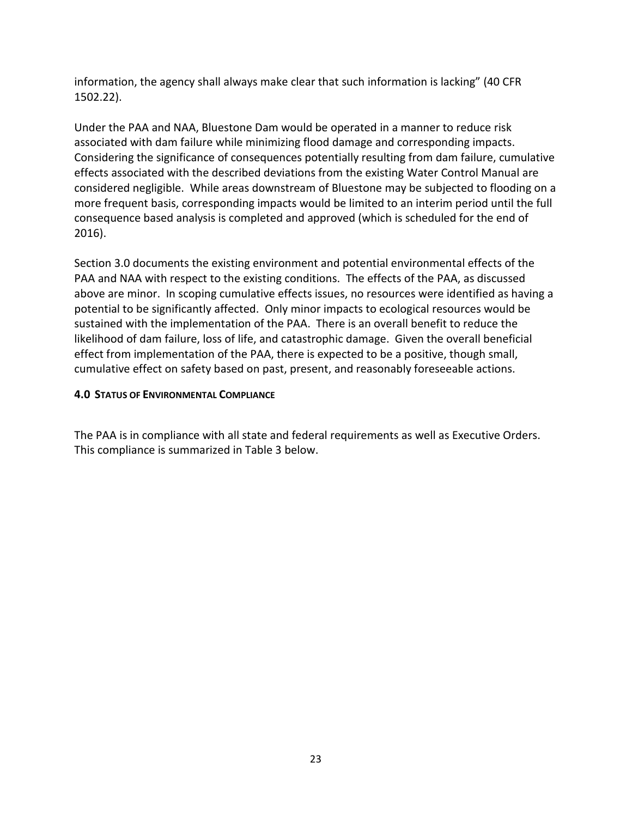information, the agency shall always make clear that such information is lacking" (40 CFR 1502.22).

Under the PAA and NAA, Bluestone Dam would be operated in a manner to reduce risk associated with dam failure while minimizing flood damage and corresponding impacts. Considering the significance of consequences potentially resulting from dam failure, cumulative effects associated with the described deviations from the existing Water Control Manual are considered negligible. While areas downstream of Bluestone may be subjected to flooding on a more frequent basis, corresponding impacts would be limited to an interim period until the full consequence based analysis is completed and approved (which is scheduled for the end of 2016).

Section 3.0 documents the existing environment and potential environmental effects of the PAA and NAA with respect to the existing conditions. The effects of the PAA, as discussed above are minor. In scoping cumulative effects issues, no resources were identified as having a potential to be significantly affected. Only minor impacts to ecological resources would be sustained with the implementation of the PAA. There is an overall benefit to reduce the likelihood of dam failure, loss of life, and catastrophic damage. Given the overall beneficial effect from implementation of the PAA, there is expected to be a positive, though small, cumulative effect on safety based on past, present, and reasonably foreseeable actions.

# **4.0 STATUS OF ENVIRONMENTAL COMPLIANCE**

The PAA is in compliance with all state and federal requirements as well as Executive Orders. This compliance is summarized in Table 3 below.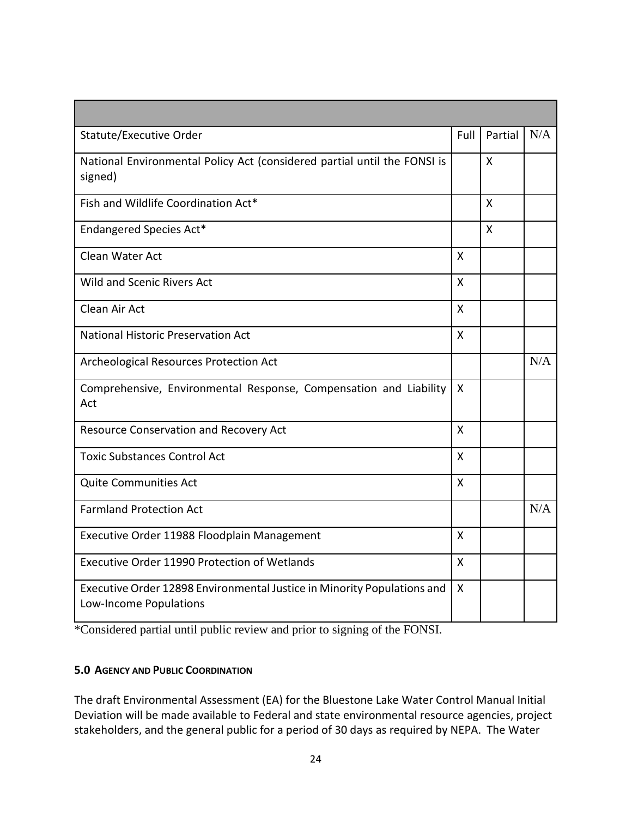| Statute/Executive Order                                                                           | Full         | Partial      | N/A |
|---------------------------------------------------------------------------------------------------|--------------|--------------|-----|
| National Environmental Policy Act (considered partial until the FONSI is<br>signed)               |              | X            |     |
| Fish and Wildlife Coordination Act*                                                               |              | X            |     |
| Endangered Species Act*                                                                           |              | $\mathsf{X}$ |     |
| Clean Water Act                                                                                   | X            |              |     |
| <b>Wild and Scenic Rivers Act</b>                                                                 | $\mathsf{X}$ |              |     |
| Clean Air Act                                                                                     | $\mathsf{x}$ |              |     |
| <b>National Historic Preservation Act</b>                                                         | X            |              |     |
| Archeological Resources Protection Act                                                            |              |              | N/A |
| Comprehensive, Environmental Response, Compensation and Liability<br>Act                          | X            |              |     |
| Resource Conservation and Recovery Act                                                            | X            |              |     |
| <b>Toxic Substances Control Act</b>                                                               | X            |              |     |
| <b>Quite Communities Act</b>                                                                      | X            |              |     |
| <b>Farmland Protection Act</b>                                                                    |              |              | N/A |
| Executive Order 11988 Floodplain Management                                                       | X            |              |     |
| Executive Order 11990 Protection of Wetlands                                                      | X            |              |     |
| Executive Order 12898 Environmental Justice in Minority Populations and<br>Low-Income Populations | $\mathsf{X}$ |              |     |

\*Considered partial until public review and prior to signing of the FONSI.

#### **5.0 AGENCY AND PUBLIC COORDINATION**

The draft Environmental Assessment (EA) for the Bluestone Lake Water Control Manual Initial Deviation will be made available to Federal and state environmental resource agencies, project stakeholders, and the general public for a period of 30 days as required by NEPA. The Water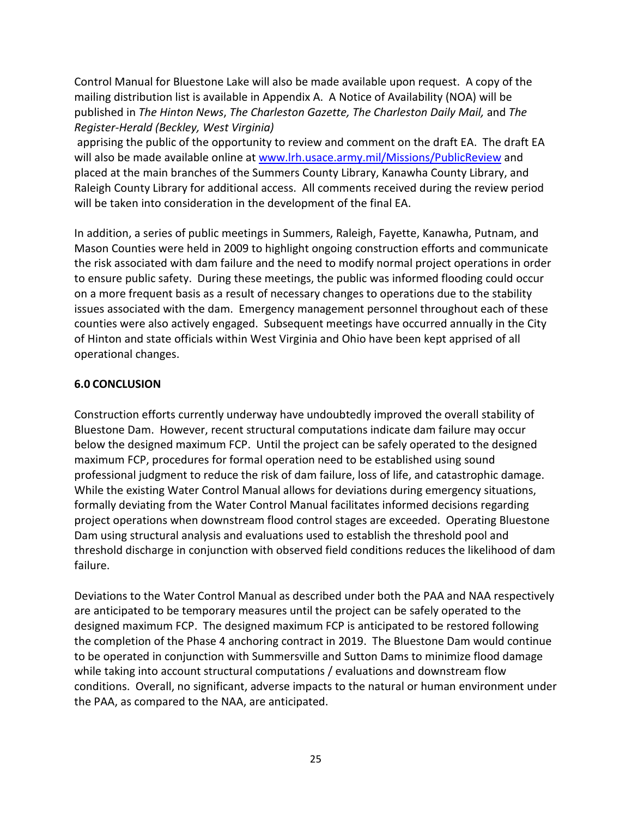Control Manual for Bluestone Lake will also be made available upon request. A copy of the mailing distribution list is available in Appendix A. A Notice of Availability (NOA) will be published in *The Hinton News*, *The Charleston Gazette, The Charleston Daily Mail,* and *The Register-Herald (Beckley, West Virginia)*

apprising the public of the opportunity to review and comment on the draft EA. The draft EA will also be made available online at [www.lrh.usace.army.mil/Missions/PublicReview](http://www.lrh.usace.army.mil/Missions/PublicReview) and placed at the main branches of the Summers County Library, Kanawha County Library, and Raleigh County Library for additional access. All comments received during the review period will be taken into consideration in the development of the final EA.

In addition, a series of public meetings in Summers, Raleigh, Fayette, Kanawha, Putnam, and Mason Counties were held in 2009 to highlight ongoing construction efforts and communicate the risk associated with dam failure and the need to modify normal project operations in order to ensure public safety. During these meetings, the public was informed flooding could occur on a more frequent basis as a result of necessary changes to operations due to the stability issues associated with the dam. Emergency management personnel throughout each of these counties were also actively engaged. Subsequent meetings have occurred annually in the City of Hinton and state officials within West Virginia and Ohio have been kept apprised of all operational changes.

## **6.0 CONCLUSION**

Construction efforts currently underway have undoubtedly improved the overall stability of Bluestone Dam. However, recent structural computations indicate dam failure may occur below the designed maximum FCP. Until the project can be safely operated to the designed maximum FCP, procedures for formal operation need to be established using sound professional judgment to reduce the risk of dam failure, loss of life, and catastrophic damage. While the existing Water Control Manual allows for deviations during emergency situations, formally deviating from the Water Control Manual facilitates informed decisions regarding project operations when downstream flood control stages are exceeded. Operating Bluestone Dam using structural analysis and evaluations used to establish the threshold pool and threshold discharge in conjunction with observed field conditions reduces the likelihood of dam failure.

Deviations to the Water Control Manual as described under both the PAA and NAA respectively are anticipated to be temporary measures until the project can be safely operated to the designed maximum FCP. The designed maximum FCP is anticipated to be restored following the completion of the Phase 4 anchoring contract in 2019. The Bluestone Dam would continue to be operated in conjunction with Summersville and Sutton Dams to minimize flood damage while taking into account structural computations / evaluations and downstream flow conditions. Overall, no significant, adverse impacts to the natural or human environment under the PAA, as compared to the NAA, are anticipated.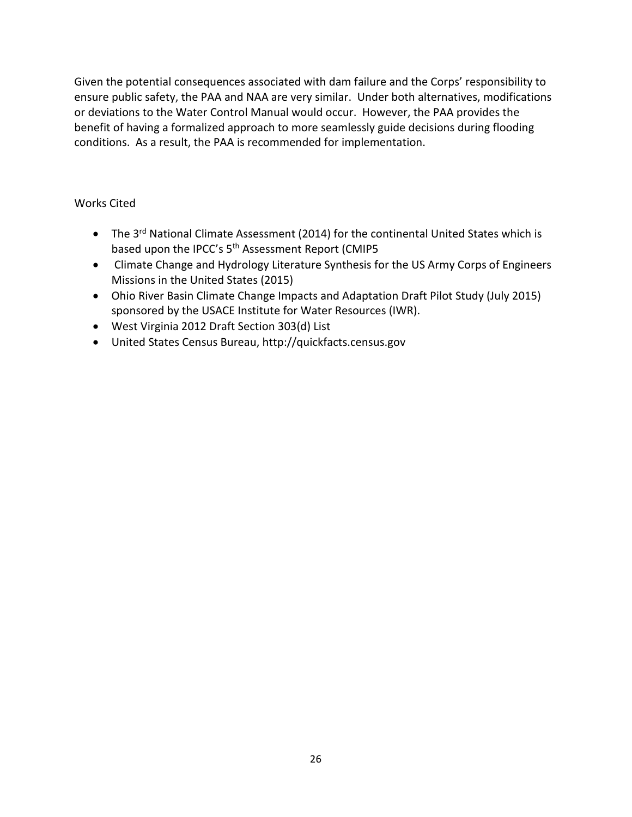Given the potential consequences associated with dam failure and the Corps' responsibility to ensure public safety, the PAA and NAA are very similar. Under both alternatives, modifications or deviations to the Water Control Manual would occur. However, the PAA provides the benefit of having a formalized approach to more seamlessly guide decisions during flooding conditions. As a result, the PAA is recommended for implementation.

# Works Cited

- The  $3^{rd}$  National Climate Assessment (2014) for the continental United States which is based upon the IPCC's 5<sup>th</sup> Assessment Report (CMIP5
- Climate Change and Hydrology Literature Synthesis for the US Army Corps of Engineers Missions in the United States (2015)
- Ohio River Basin Climate Change Impacts and Adaptation Draft Pilot Study (July 2015) sponsored by the USACE Institute for Water Resources (IWR).
- West Virginia 2012 Draft Section 303(d) List
- United States Census Bureau, http://quickfacts.census.gov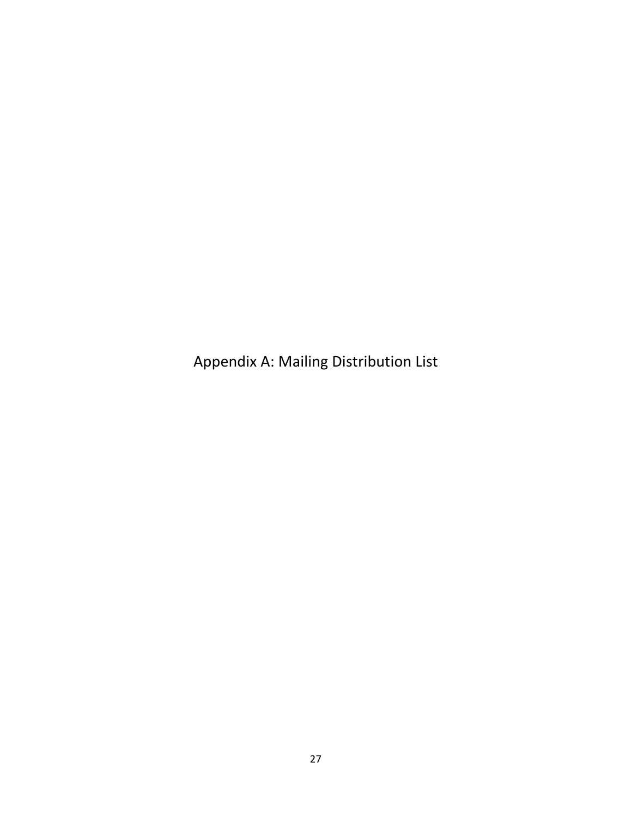Appendix A: Mailing Distribution List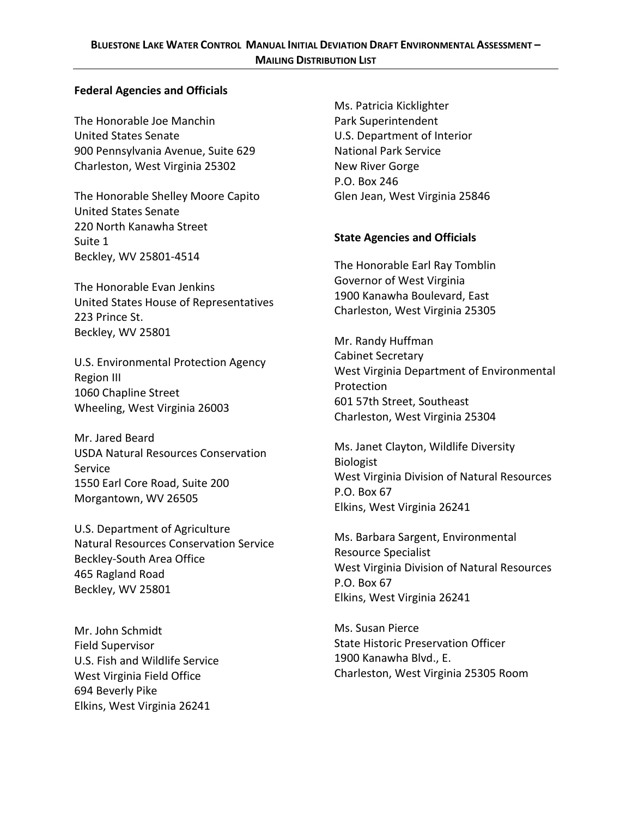#### **Federal Agencies and Officials**

The Honorable Joe Manchin **Park Superintendent** United States Senate U.S. Department of Interior 900 Pennsylvania Avenue, Suite 629 National Park Service Charleston, West Virginia 25302 New River Gorge

The Honorable Shelley Moore Capito Glen Jean, West Virginia 25846 United States Senate 220 North Kanawha Street **State Agencies and Officials** Suite 1 Beckley, WV 25801-4514

The Honorable Evan Jenkins<br>1900 Kanawha Boulevard, East 1900 Kanawha Boulevard, East United States House of Representatives Charleston, West Virginia 25305 223 Prince St. Beckley, WV 25801 Mr. Randy Huffman

Mr. Jared Beard Ms. Janet Clayton, Wildlife Diversity<br>
Siologist
Biologist
Clayton, Wildlife Diversity
Biologist
Contract Conservation Biologist Service<br>Service Service Service

U.S. Department of Agriculture<br>
Ms. Barbara Sargent, Environmental<br>
Resource Specialist

Mr. John Schmidt Mr. John Schmidt U.S. Fish and Wildlife Service 1900 Kanawha Blvd., E. 694 Beverly Pike Elkins, West Virginia 26241

Ms. Patricia Kicklighter P.O. Box 246

The Honorable Earl Ray Tomblin

U.S. Environmental Protection Agency<br>
Region III<br>
Region III Protection<br>
1060 Chapline Street<br>
Wheeling, West Virginia 26003<br>
Wheeling, West Virginia 26003<br>
Charleston, West Virginia 25304

Service<br>
1550 Earl Core Road, Suite 200 West Virginia Division of Natural Resources<br>
Morgantown, WV 26505 P.O. Box 67<br>
Elkins, West Virginia 26241

Resource Specialist<br>
Resource Specialist Beckley-South Area Office<br>
465 Ragland Road P.O. Box 67<br>
Beckley, WV 25801 Beckley, WV 25801 Elkins, West Virginia 26241

Field Supervisor **State Historic Preservation Officer** West Virginia Field Office **Charleston, West Virginia 25305 Room**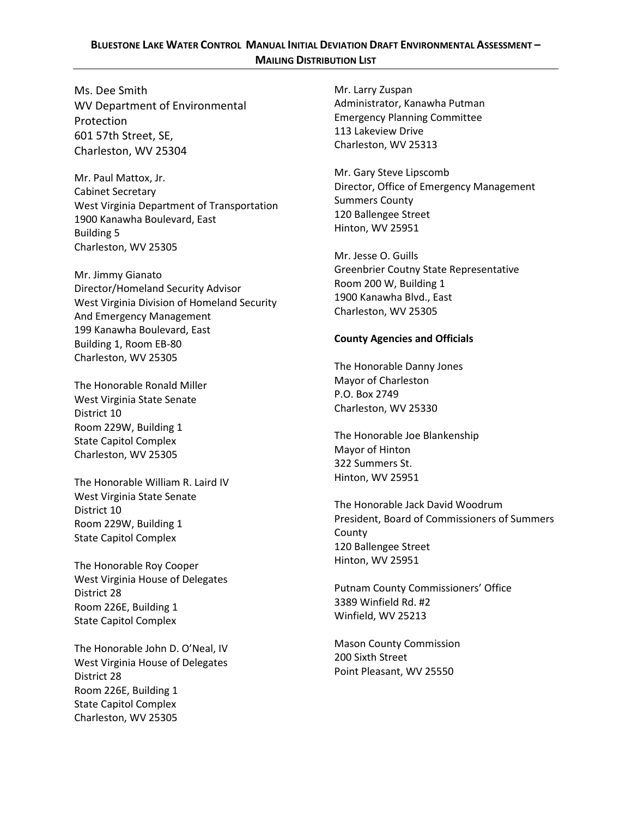### **BLUESTONE LAKE WATER CONTROL MANUAL INITIAL DEVIATION DRAFT ENVIRONMENTAL ASSESSMENT – MAILING DISTRIBUTION LIST**

Ms. Dee Smith Mr. Larry Zuspan WV Department of Environmental Administrator, Kanawha Putman Protection<br>
Emergency Planning Committee<br>
113 Lakeview Drive <sup>113</sup> Lakeview Drive 601 57th Street, SE, Charleston, WV 25313 Charleston, WV 25304

Mr. Paul Mattox, Jr.<br>
Cabinet Secretary<br>
Cabinet Secretary<br>
West Virginia Department of Transportation<br>
1900 Kanawha Boulevard, East<br>
Building 5<br>
Building 5 Charleston, WV 25305 Mr. Jesse O. Guills

Mr. Jimmy Gianato<br>
Director/Homeland Security Advisor<br>
West Virginia Division of Homeland Security<br>
And Emergency Management<br>
And Emergency Management<br>
And Emergency Management<br>
And Emergency Management 199 Kanawha Boulevard, East **County Agencies and Officials** Building 1, Room EB-80 Charleston, WV 25305 The Honorable Danny Jones

The Honorable Ronald Miller<br>
Mayor of Charleston<br>
P.O. Box 2749 West Virginia State Senate<br>District 10 District 10 Room 229W, Building 1

Hinton, WV 25951 The Honorable William R. Laird IV West Virginia State Senate<br>
District 10<br>
District 10

Hinton, WV 25951 The Honorable Roy Cooper West Virginia House of Delegates<br>
District 28<br>
Putnam County Commissioners' Office<br>
28 Ninfield Rd. #2 Room 226E, Building 1 and the state of the state of the state of the state of the State Capital Complex and the State Of the State of the State of the State of the State of the State of the State of the State of the State State Capitol Complex

The Honorable John D. O'Neal, IV 200 Mason County Commission<br>West Virginia House of Delegates 200 Sixth Street<br>District 28 District 28 Room 226E, Building 1 State Capitol Complex Charleston, WV 25305

The Honorable Joe Blankenship<br>State Capitol Complex Mayor of Hinton Mayor of Hinton<br>Charleston, WV 25305 322 Summers St.

President, Board of Commissioners of Summers<br>
Room 229W, Building 1 County<br>
State Capitol Complex 120 Ballengee Street